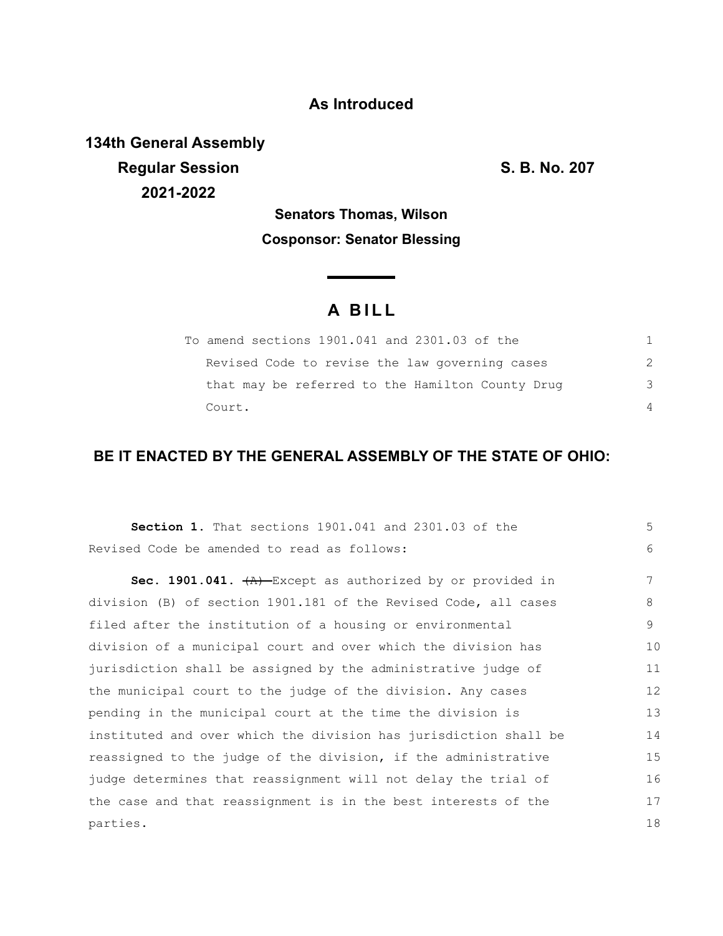## **As Introduced**

**134th General Assembly Regular Session S. B. No. 207 2021-2022**

# **Senators Thomas, Wilson Cosponsor: Senator Blessing**

# **A B I L L**

<u> The Common State State Sta</u>te

| To amend sections 1901.041 and 2301.03 of the    |               |
|--------------------------------------------------|---------------|
| Revised Code to revise the law governing cases   | $\mathcal{P}$ |
| that may be referred to the Hamilton County Drug | 3             |
| Court.                                           | $\Delta$      |

## **BE IT ENACTED BY THE GENERAL ASSEMBLY OF THE STATE OF OHIO:**

| <b>Section 1.</b> That sections 1901.041 and 2301.03 of the                  | 5  |
|------------------------------------------------------------------------------|----|
| Revised Code be amended to read as follows:                                  | 6  |
| <b>Sec. 1901.041.</b> $\overline{A}$ -Except as authorized by or provided in | 7  |
| division (B) of section 1901.181 of the Revised Code, all cases              | 8  |
| filed after the institution of a housing or environmental                    | 9  |
| division of a municipal court and over which the division has                | 10 |
| jurisdiction shall be assigned by the administrative judge of                | 11 |
| the municipal court to the judge of the division. Any cases                  | 12 |
| pending in the municipal court at the time the division is                   | 13 |
| instituted and over which the division has jurisdiction shall be             | 14 |
| reassigned to the judge of the division, if the administrative               | 15 |
| judge determines that reassignment will not delay the trial of               | 16 |
| the case and that reassignment is in the best interests of the               | 17 |
| parties.                                                                     | 18 |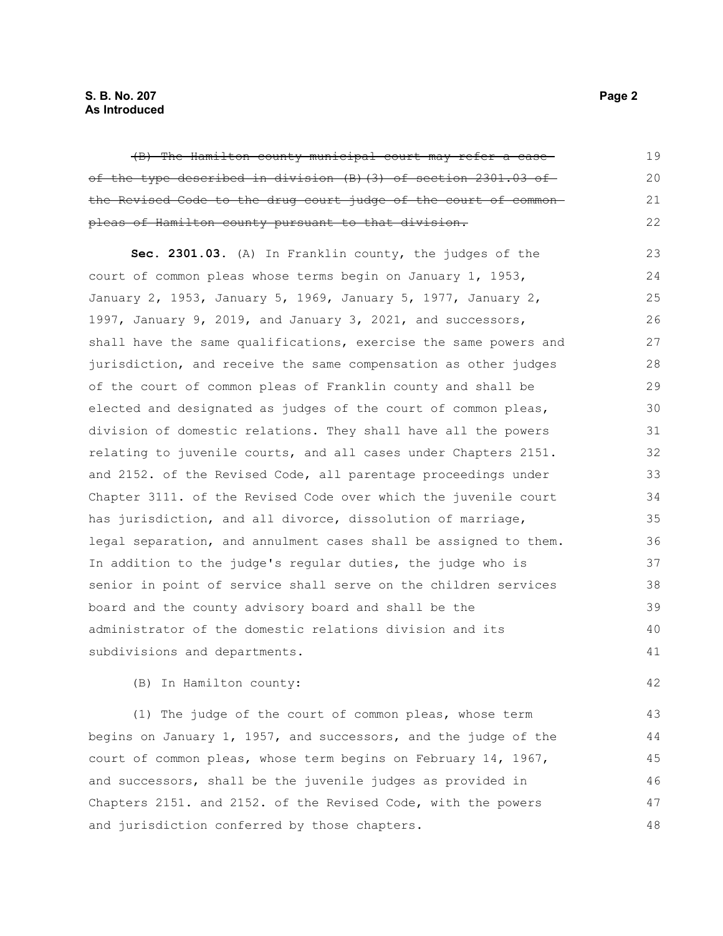## **S. B. No. 207 Page 2 As Introduced**

| (B) The Hamilton county municipal court may refer a case-        | 19 |
|------------------------------------------------------------------|----|
| of the type described in division (B) (3) of section 2301.03 of  | 20 |
| the Revised Code to the drug court judge of the court of common- | 21 |
| pleas of Hamilton county pursuant to that division.              | 22 |
| Sec. 2301.03. (A) In Franklin county, the judges of the          | 23 |
| court of common pleas whose terms begin on January 1, 1953,      | 24 |
| January 2, 1953, January 5, 1969, January 5, 1977, January 2,    | 25 |
| 1997, January 9, 2019, and January 3, 2021, and successors,      | 26 |
| shall have the same qualifications, exercise the same powers and | 27 |
| jurisdiction, and receive the same compensation as other judges  | 28 |
| of the court of common pleas of Franklin county and shall be     | 29 |
| elected and designated as judges of the court of common pleas,   | 30 |
| division of domestic relations. They shall have all the powers   | 31 |
| relating to juvenile courts, and all cases under Chapters 2151.  | 32 |
| and 2152. of the Revised Code, all parentage proceedings under   | 33 |
| Chapter 3111. of the Revised Code over which the juvenile court  | 34 |
| has jurisdiction, and all divorce, dissolution of marriage,      | 35 |
| legal separation, and annulment cases shall be assigned to them. | 36 |
| In addition to the judge's regular duties, the judge who is      | 37 |
| senior in point of service shall serve on the children services  | 38 |
| board and the county advisory board and shall be the             | 39 |
| administrator of the domestic relations division and its         | 40 |
| subdivisions and departments.                                    | 41 |
| (B) In Hamilton county:                                          | 42 |

(1) The judge of the court of common pleas, whose term begins on January 1, 1957, and successors, and the judge of the court of common pleas, whose term begins on February 14, 1967, and successors, shall be the juvenile judges as provided in Chapters 2151. and 2152. of the Revised Code, with the powers and jurisdiction conferred by those chapters. 43 44 45 46 47 48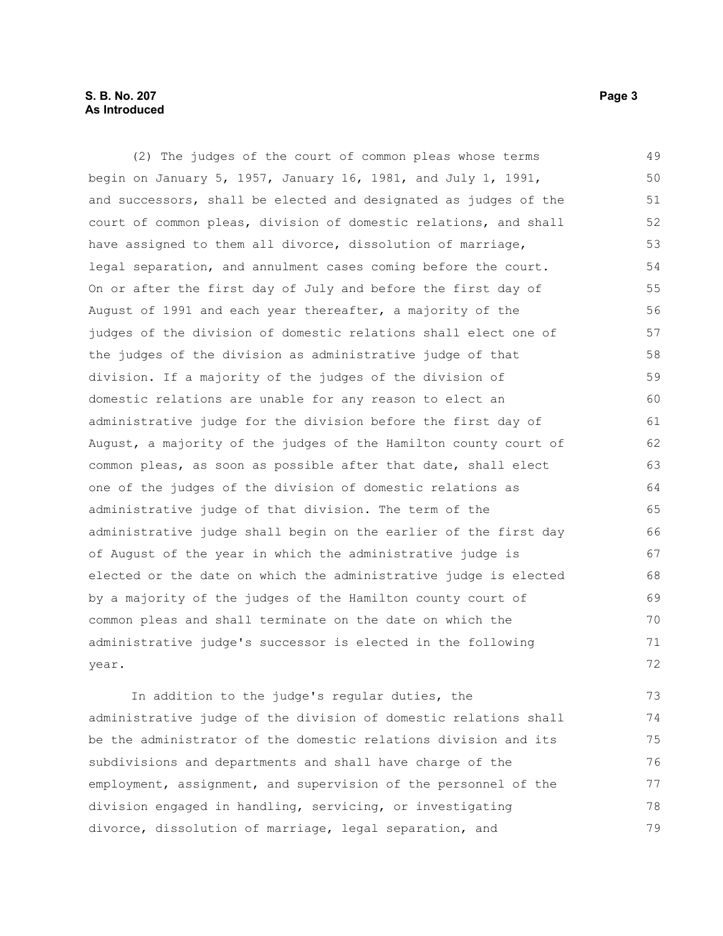## **S. B. No. 207 Page 3 As Introduced**

(2) The judges of the court of common pleas whose terms begin on January 5, 1957, January 16, 1981, and July 1, 1991, and successors, shall be elected and designated as judges of the court of common pleas, division of domestic relations, and shall have assigned to them all divorce, dissolution of marriage, legal separation, and annulment cases coming before the court. On or after the first day of July and before the first day of August of 1991 and each year thereafter, a majority of the judges of the division of domestic relations shall elect one of the judges of the division as administrative judge of that division. If a majority of the judges of the division of domestic relations are unable for any reason to elect an administrative judge for the division before the first day of August, a majority of the judges of the Hamilton county court of common pleas, as soon as possible after that date, shall elect one of the judges of the division of domestic relations as administrative judge of that division. The term of the administrative judge shall begin on the earlier of the first day of August of the year in which the administrative judge is elected or the date on which the administrative judge is elected by a majority of the judges of the Hamilton county court of common pleas and shall terminate on the date on which the administrative judge's successor is elected in the following year. 49 50 51 52 53 54 55 56 57 58 59 60 61 62 63 64 65 66 67 68 69 70 71 72

In addition to the judge's regular duties, the administrative judge of the division of domestic relations shall be the administrator of the domestic relations division and its subdivisions and departments and shall have charge of the employment, assignment, and supervision of the personnel of the division engaged in handling, servicing, or investigating divorce, dissolution of marriage, legal separation, and 73 74 75 76 77 78 79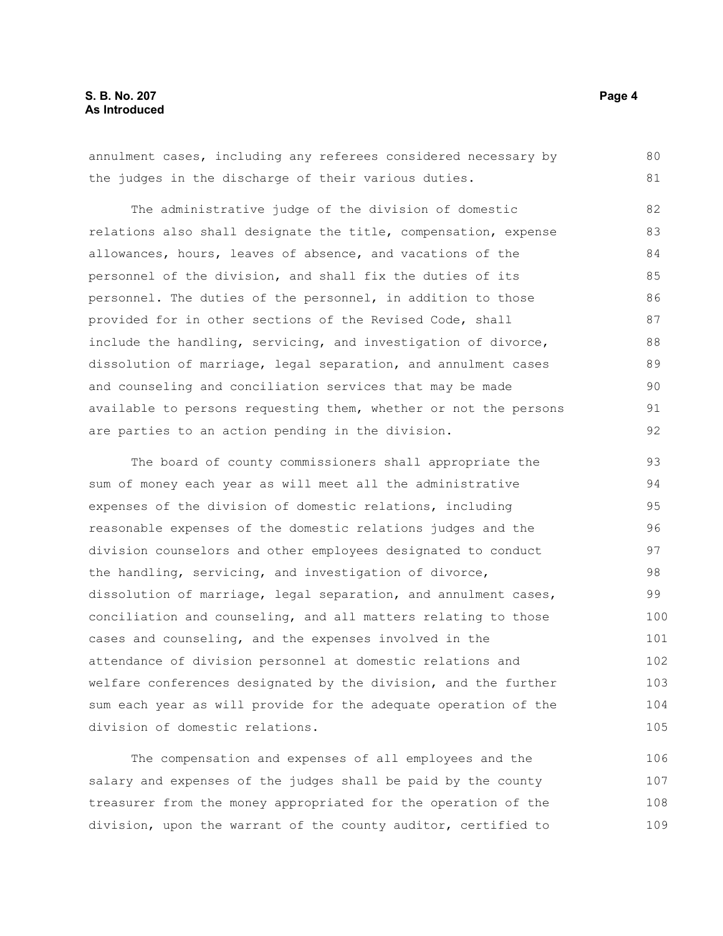annulment cases, including any referees considered necessary by the judges in the discharge of their various duties. The administrative judge of the division of domestic relations also shall designate the title, compensation, expense allowances, hours, leaves of absence, and vacations of the personnel of the division, and shall fix the duties of its personnel. The duties of the personnel, in addition to those provided for in other sections of the Revised Code, shall include the handling, servicing, and investigation of divorce, dissolution of marriage, legal separation, and annulment cases and counseling and conciliation services that may be made available to persons requesting them, whether or not the persons are parties to an action pending in the division. 80 81 82 83 84 85 86 87 88 89 90 91 92

The board of county commissioners shall appropriate the sum of money each year as will meet all the administrative expenses of the division of domestic relations, including reasonable expenses of the domestic relations judges and the division counselors and other employees designated to conduct the handling, servicing, and investigation of divorce, dissolution of marriage, legal separation, and annulment cases, conciliation and counseling, and all matters relating to those cases and counseling, and the expenses involved in the attendance of division personnel at domestic relations and welfare conferences designated by the division, and the further sum each year as will provide for the adequate operation of the division of domestic relations. 93 94 95 96 97 98 99 100 101 102 103 104 105

The compensation and expenses of all employees and the salary and expenses of the judges shall be paid by the county treasurer from the money appropriated for the operation of the division, upon the warrant of the county auditor, certified to 106 107 108 109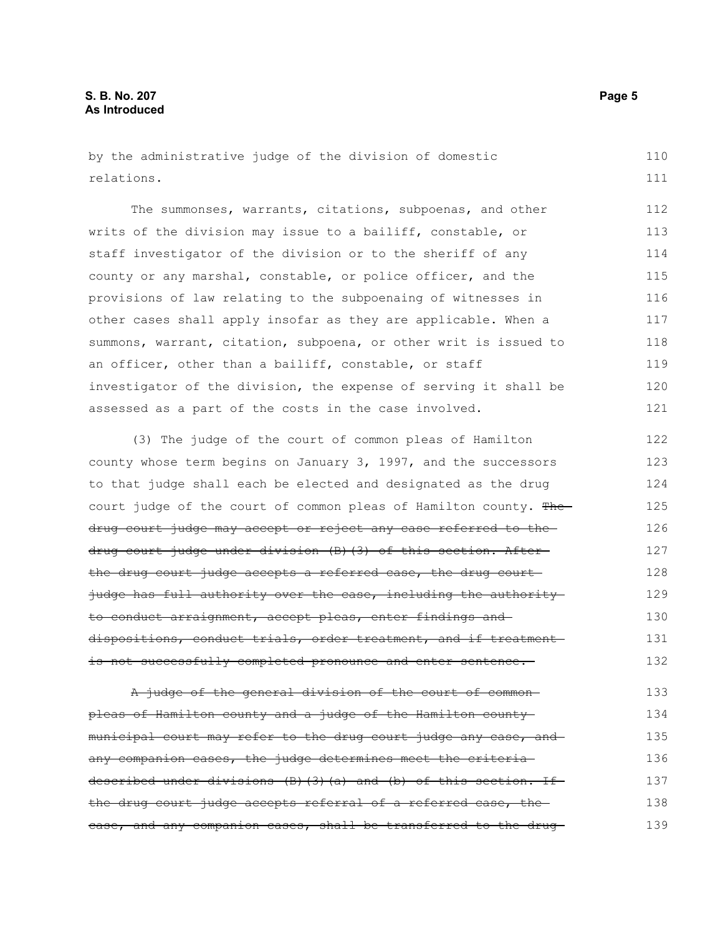by the administrative judge of the division of domestic relations. 110 111

The summonses, warrants, citations, subpoenas, and other writs of the division may issue to a bailiff, constable, or staff investigator of the division or to the sheriff of any county or any marshal, constable, or police officer, and the provisions of law relating to the subpoenaing of witnesses in other cases shall apply insofar as they are applicable. When a summons, warrant, citation, subpoena, or other writ is issued to an officer, other than a bailiff, constable, or staff investigator of the division, the expense of serving it shall be assessed as a part of the costs in the case involved. 112 113 114 115 116 117 118 119 120 121

(3) The judge of the court of common pleas of Hamilton county whose term begins on January 3, 1997, and the successors to that judge shall each be elected and designated as the drug court judge of the court of common pleas of Hamilton county. Thedrug court judge may accept or reject any case referred to the drug court judge under division (B)(3) of this section. After the drug court judge accepts a referred case, the drug court judge has full authority over the case, including the authorityto conduct arraignment, accept pleas, enter findings and dispositions, conduct trials, order treatment, and if treatment is not successfully completed pronounce and enter sentence. 122 123 124 125 126 127 128 129 130 131 132

A judge of the general division of the court of commonpleas of Hamilton county and a judge of the Hamilton county municipal court may refer to the drug court judge any case, and any companion cases, the judge determines meet the criteria described under divisions (B)(3)(a) and (b) of this section. If the drug court judge accepts referral of a referred case, the case, and any companion cases, shall be transferred to the drug 133 134 135 136 137 138 139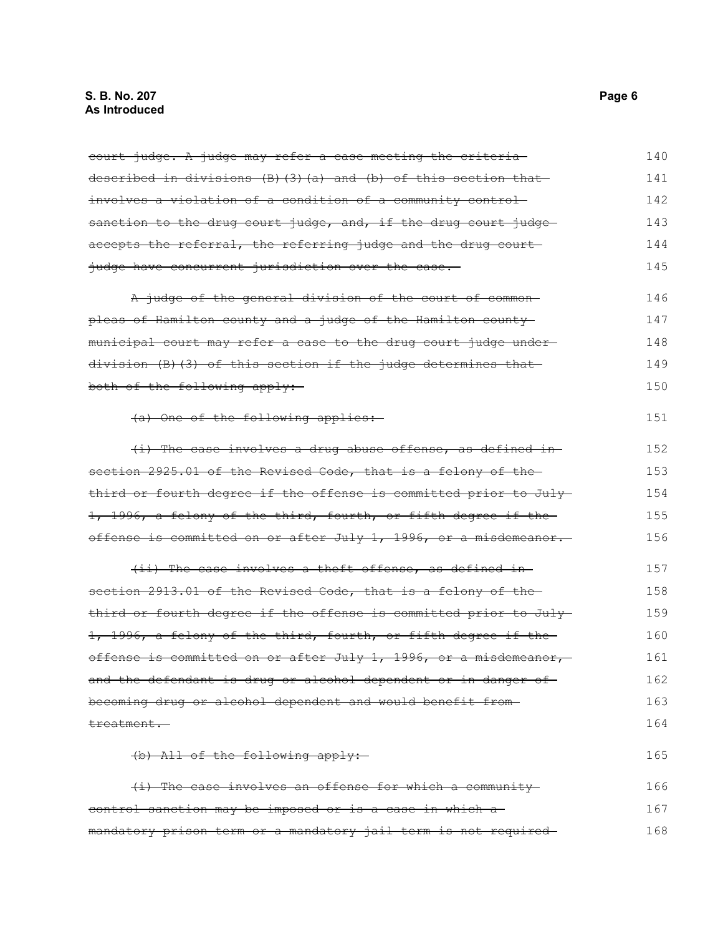## **S. B. No. 207 Page 6 As Introduced**

| court judge. A judge may refer a case meeting the criteria       | 140 |
|------------------------------------------------------------------|-----|
| described in divisions (B) (3) (a) and (b) of this section that  | 141 |
| involves a violation of a condition of a community control-      | 142 |
| sanction to the drug court judge, and, if the drug court judge-  | 143 |
| accepts the referral, the referring judge and the drug court     | 144 |
| judge have concurrent jurisdiction over the case.                | 145 |
| A judge of the general division of the court of common-          | 146 |
| pleas of Hamilton county and a judge of the Hamilton county      | 147 |
| municipal court may refer a case to the drug court judge under-  | 148 |
| division (B) (3) of this section if the judge determines that    | 149 |
| both of the following apply:                                     | 150 |
| (a) One of the following applies:                                | 151 |
| (i) The case involves a drug abuse offense, as defined in-       | 152 |
| section 2925.01 of the Revised Code, that is a felony of the     | 153 |
| third or fourth degree if the offense is committed prior to July | 154 |
| 1, 1996, a felony of the third, fourth, or fifth degree if the   | 155 |
| offense is committed on or after July 1, 1996, or a misdemeanor. | 156 |
| (ii) The case involves a theft offense, as defined in-           | 157 |
| section 2913.01 of the Revised Code, that is a felony of the     | 158 |
| third or fourth degree if the offense is committed prior to July | 159 |
| 1, 1996, a felony of the third, fourth, or fifth degree if the   | 160 |
| offense is committed on or after July 1, 1996, or a misdemeanor, | 161 |
| and the defendant is drug or alcohol dependent or in danger of   | 162 |
| becoming drug or alcohol dependent and would benefit from-       | 163 |
| treatment.                                                       | 164 |
| (b) All of the following apply:                                  | 165 |
| (i) The case involves an offense for which a community           | 166 |
| control sanction may be imposed or is a case in which a          | 167 |
| mandatory prison term or a mandatory jail term is not required-  | 168 |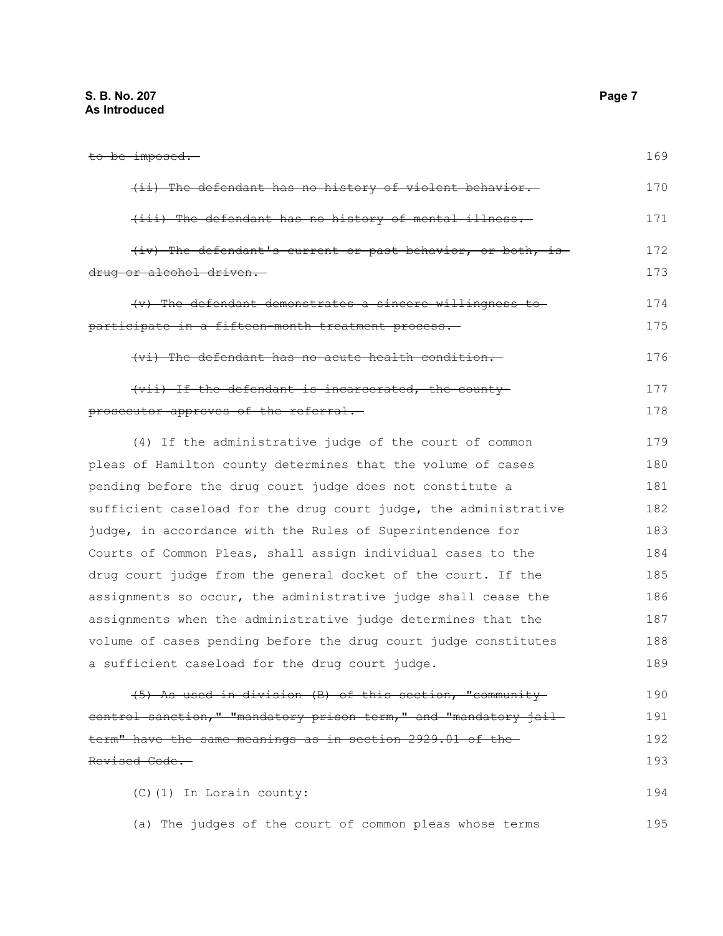## **S. B. No. 207 Page 7 As Introduced**

| <del>to be imposed.</del>                                        | 169 |
|------------------------------------------------------------------|-----|
| (ii) The defendant has no history of violent behavior.           | 170 |
| (iii) The defendant has no history of mental illness.            | 171 |
| (iv) The defendant's current or past behavior, or both, is       | 172 |
| drug or alcohol driven.                                          | 173 |
| (v) The defendant demonstrates a sincere willingness to          | 174 |
| participate in a fifteen-month treatment process.                | 175 |
| (vi) The defendant has no acute health condition.                | 176 |
| (vii) If the defendant is incarcerated, the county               | 177 |
| <del>prosecutor approves of the referral.-</del>                 | 178 |
| (4) If the administrative judge of the court of common           | 179 |
| pleas of Hamilton county determines that the volume of cases     | 180 |
| pending before the drug court judge does not constitute a        | 181 |
| sufficient caseload for the drug court judge, the administrative | 182 |
| judge, in accordance with the Rules of Superintendence for       | 183 |
| Courts of Common Pleas, shall assign individual cases to the     | 184 |
| drug court judge from the general docket of the court. If the    | 185 |
| assignments so occur, the administrative judge shall cease the   | 186 |
| assignments when the administrative judge determines that the    | 187 |
| volume of cases pending before the drug court judge constitutes  | 188 |
| a sufficient caseload for the drug court judge.                  | 189 |
| (5) As used in division (B) of this section, "community-         | 190 |
| control sanction," "mandatory prison term," and "mandatory jail- | 191 |
| term" have the same meanings as in section 2929.01 of the-       | 192 |
| Revised Code.                                                    | 193 |
| (C) (1) In Lorain county:                                        | 194 |
| (a) The judges of the court of common pleas whose terms          | 195 |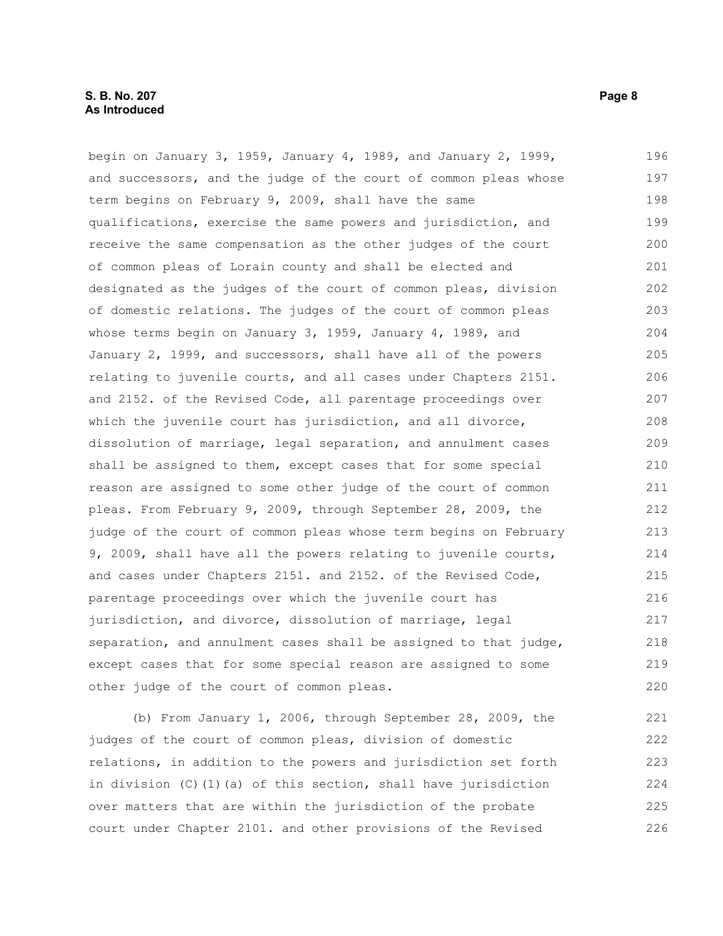begin on January 3, 1959, January 4, 1989, and January 2, 1999, and successors, and the judge of the court of common pleas whose term begins on February 9, 2009, shall have the same qualifications, exercise the same powers and jurisdiction, and receive the same compensation as the other judges of the court of common pleas of Lorain county and shall be elected and designated as the judges of the court of common pleas, division of domestic relations. The judges of the court of common pleas whose terms begin on January 3, 1959, January 4, 1989, and January 2, 1999, and successors, shall have all of the powers relating to juvenile courts, and all cases under Chapters 2151. and 2152. of the Revised Code, all parentage proceedings over which the juvenile court has jurisdiction, and all divorce, dissolution of marriage, legal separation, and annulment cases shall be assigned to them, except cases that for some special reason are assigned to some other judge of the court of common pleas. From February 9, 2009, through September 28, 2009, the judge of the court of common pleas whose term begins on February 9, 2009, shall have all the powers relating to juvenile courts, and cases under Chapters 2151. and 2152. of the Revised Code, parentage proceedings over which the juvenile court has jurisdiction, and divorce, dissolution of marriage, legal separation, and annulment cases shall be assigned to that judge, except cases that for some special reason are assigned to some other judge of the court of common pleas. 196 197 198 199 200 201 202 203 204 205 206 207 208 209 210 211 212 213 214 215 216 217 218 219 220

(b) From January 1, 2006, through September 28, 2009, the judges of the court of common pleas, division of domestic relations, in addition to the powers and jurisdiction set forth in division (C)(1)(a) of this section, shall have jurisdiction over matters that are within the jurisdiction of the probate court under Chapter 2101. and other provisions of the Revised 221 222 223 224 225 226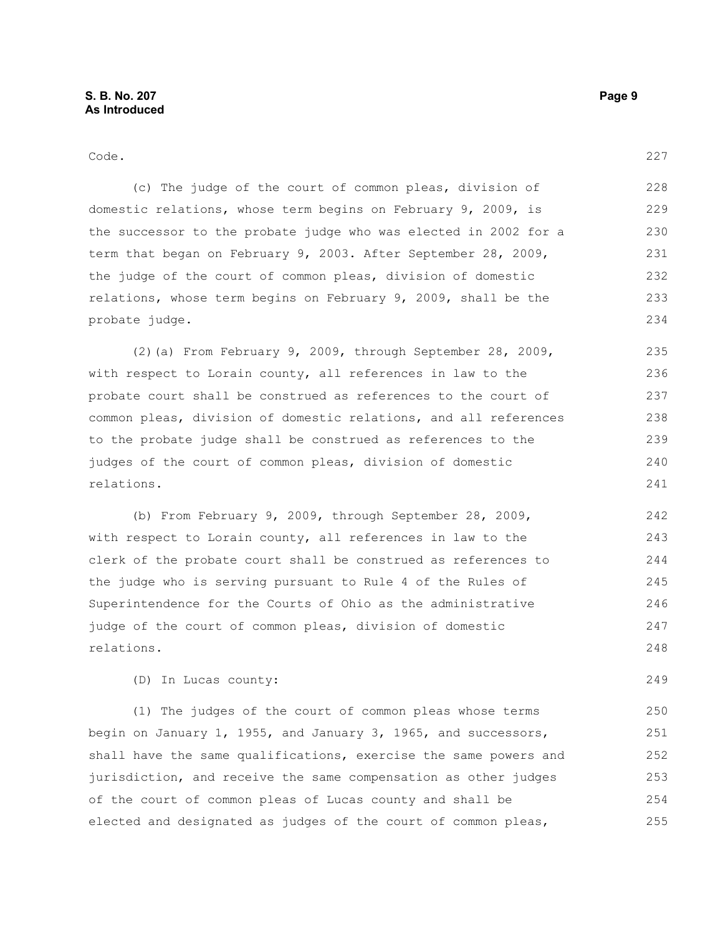249

#### Code. (c) The judge of the court of common pleas, division of domestic relations, whose term begins on February 9, 2009, is the successor to the probate judge who was elected in 2002 for a term that began on February 9, 2003. After September 28, 2009, the judge of the court of common pleas, division of domestic relations, whose term begins on February 9, 2009, shall be the probate judge. (2)(a) From February 9, 2009, through September 28, 2009, with respect to Lorain county, all references in law to the probate court shall be construed as references to the court of common pleas, division of domestic relations, and all references to the probate judge shall be construed as references to the judges of the court of common pleas, division of domestic relations. (b) From February 9, 2009, through September 28, 2009, with respect to Lorain county, all references in law to the clerk of the probate court shall be construed as references to the judge who is serving pursuant to Rule 4 of the Rules of Superintendence for the Courts of Ohio as the administrative judge of the court of common pleas, division of domestic relations. 227 228 229 230 231 232 233 234 235 236 237 238 239 240 241 242 243 244 245 246 247 248

(D) In Lucas county:

(1) The judges of the court of common pleas whose terms begin on January 1, 1955, and January 3, 1965, and successors, shall have the same qualifications, exercise the same powers and jurisdiction, and receive the same compensation as other judges of the court of common pleas of Lucas county and shall be elected and designated as judges of the court of common pleas, 250 251 252 253 254 255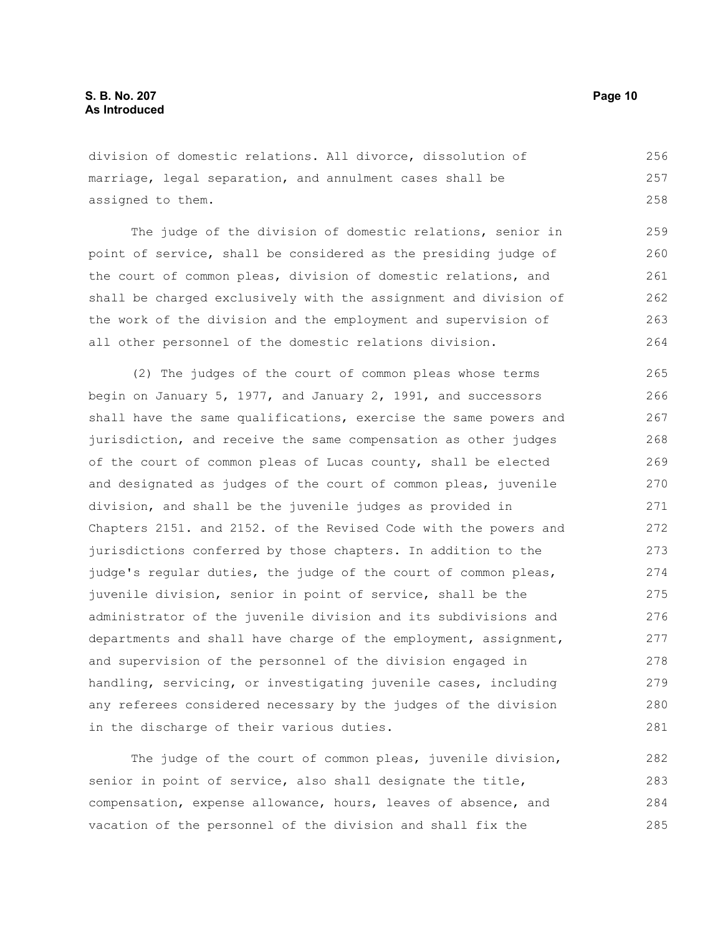division of domestic relations. All divorce, dissolution of marriage, legal separation, and annulment cases shall be assigned to them. 256 257 258

The judge of the division of domestic relations, senior in point of service, shall be considered as the presiding judge of the court of common pleas, division of domestic relations, and shall be charged exclusively with the assignment and division of the work of the division and the employment and supervision of all other personnel of the domestic relations division. 259 260 261 262 263 264

(2) The judges of the court of common pleas whose terms begin on January 5, 1977, and January 2, 1991, and successors shall have the same qualifications, exercise the same powers and jurisdiction, and receive the same compensation as other judges of the court of common pleas of Lucas county, shall be elected and designated as judges of the court of common pleas, juvenile division, and shall be the juvenile judges as provided in Chapters 2151. and 2152. of the Revised Code with the powers and jurisdictions conferred by those chapters. In addition to the judge's regular duties, the judge of the court of common pleas, juvenile division, senior in point of service, shall be the administrator of the juvenile division and its subdivisions and departments and shall have charge of the employment, assignment, and supervision of the personnel of the division engaged in handling, servicing, or investigating juvenile cases, including any referees considered necessary by the judges of the division in the discharge of their various duties. 265 266 267 268 269 270 271 272 273 274 275 276 277 278 279 280 281

The judge of the court of common pleas, juvenile division, senior in point of service, also shall designate the title, compensation, expense allowance, hours, leaves of absence, and vacation of the personnel of the division and shall fix the 282 283 284 285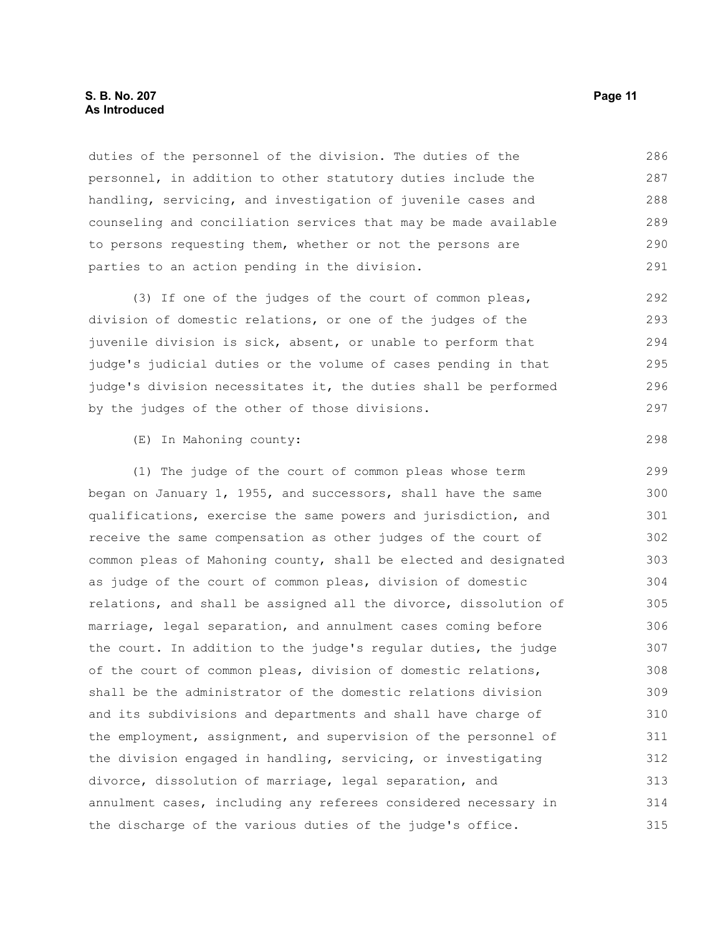## **S. B. No. 207 Page 11 As Introduced**

duties of the personnel of the division. The duties of the personnel, in addition to other statutory duties include the handling, servicing, and investigation of juvenile cases and counseling and conciliation services that may be made available to persons requesting them, whether or not the persons are parties to an action pending in the division.

(3) If one of the judges of the court of common pleas, division of domestic relations, or one of the judges of the juvenile division is sick, absent, or unable to perform that judge's judicial duties or the volume of cases pending in that judge's division necessitates it, the duties shall be performed by the judges of the other of those divisions.

(E) In Mahoning county:

(1) The judge of the court of common pleas whose term began on January 1, 1955, and successors, shall have the same qualifications, exercise the same powers and jurisdiction, and receive the same compensation as other judges of the court of common pleas of Mahoning county, shall be elected and designated as judge of the court of common pleas, division of domestic relations, and shall be assigned all the divorce, dissolution of marriage, legal separation, and annulment cases coming before the court. In addition to the judge's regular duties, the judge of the court of common pleas, division of domestic relations, shall be the administrator of the domestic relations division and its subdivisions and departments and shall have charge of the employment, assignment, and supervision of the personnel of the division engaged in handling, servicing, or investigating divorce, dissolution of marriage, legal separation, and annulment cases, including any referees considered necessary in the discharge of the various duties of the judge's office. 299 300 301 302 303 304 305 306 307 308 309 310 311 312 313 314 315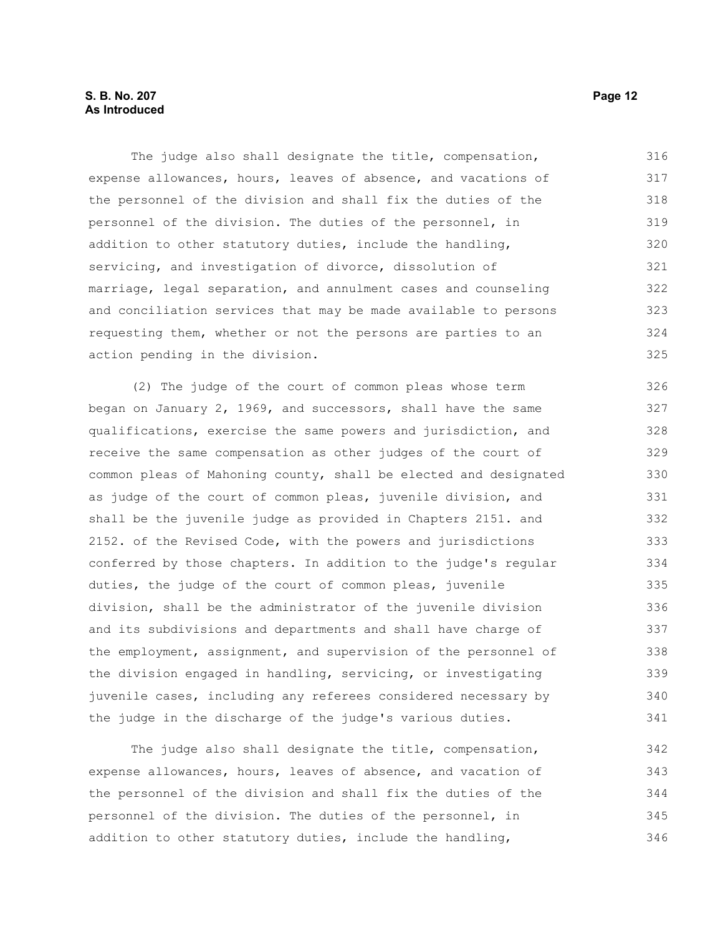## **S. B. No. 207 Page 12 As Introduced**

The judge also shall designate the title, compensation, expense allowances, hours, leaves of absence, and vacations of the personnel of the division and shall fix the duties of the personnel of the division. The duties of the personnel, in addition to other statutory duties, include the handling, servicing, and investigation of divorce, dissolution of marriage, legal separation, and annulment cases and counseling and conciliation services that may be made available to persons requesting them, whether or not the persons are parties to an action pending in the division. 316 317 318 319 320 321 322 323 324 325

(2) The judge of the court of common pleas whose term began on January 2, 1969, and successors, shall have the same qualifications, exercise the same powers and jurisdiction, and receive the same compensation as other judges of the court of common pleas of Mahoning county, shall be elected and designated as judge of the court of common pleas, juvenile division, and shall be the juvenile judge as provided in Chapters 2151. and 2152. of the Revised Code, with the powers and jurisdictions conferred by those chapters. In addition to the judge's regular duties, the judge of the court of common pleas, juvenile division, shall be the administrator of the juvenile division and its subdivisions and departments and shall have charge of the employment, assignment, and supervision of the personnel of the division engaged in handling, servicing, or investigating juvenile cases, including any referees considered necessary by the judge in the discharge of the judge's various duties. 326 327 328 329 330 331 332 333 334 335 336 337 338 339 340 341

The judge also shall designate the title, compensation, expense allowances, hours, leaves of absence, and vacation of the personnel of the division and shall fix the duties of the personnel of the division. The duties of the personnel, in addition to other statutory duties, include the handling, 342 343 344 345 346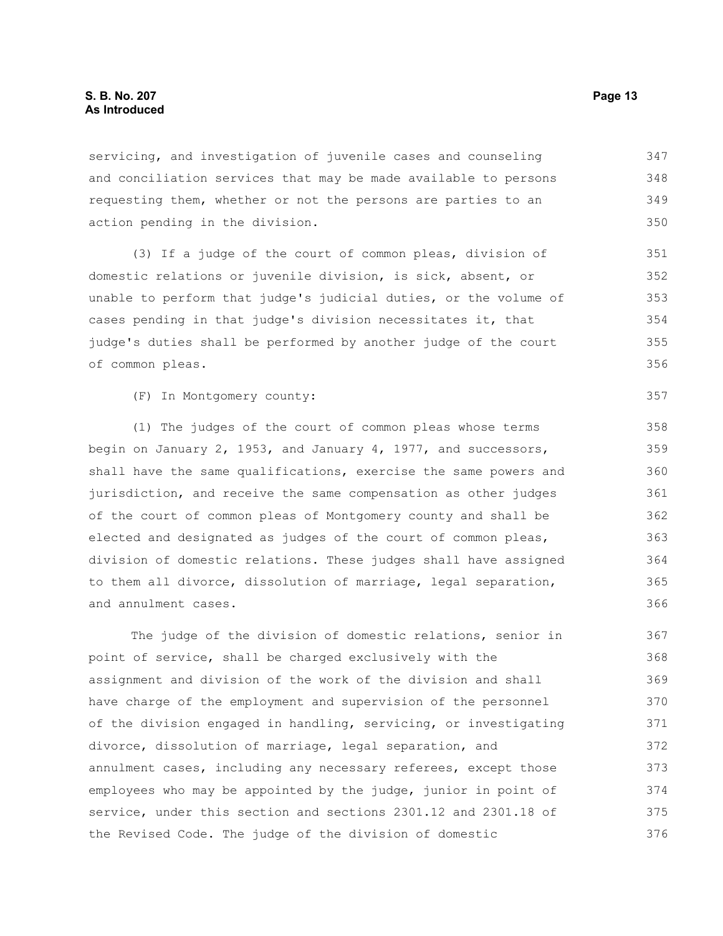## **S. B. No. 207 Page 13 As Introduced**

servicing, and investigation of juvenile cases and counseling and conciliation services that may be made available to persons requesting them, whether or not the persons are parties to an action pending in the division. 347 348 349 350

(3) If a judge of the court of common pleas, division of domestic relations or juvenile division, is sick, absent, or unable to perform that judge's judicial duties, or the volume of cases pending in that judge's division necessitates it, that judge's duties shall be performed by another judge of the court of common pleas.

(F) In Montgomery county:

(1) The judges of the court of common pleas whose terms begin on January 2, 1953, and January 4, 1977, and successors, shall have the same qualifications, exercise the same powers and jurisdiction, and receive the same compensation as other judges of the court of common pleas of Montgomery county and shall be elected and designated as judges of the court of common pleas, division of domestic relations. These judges shall have assigned to them all divorce, dissolution of marriage, legal separation, and annulment cases.

The judge of the division of domestic relations, senior in point of service, shall be charged exclusively with the assignment and division of the work of the division and shall have charge of the employment and supervision of the personnel of the division engaged in handling, servicing, or investigating divorce, dissolution of marriage, legal separation, and annulment cases, including any necessary referees, except those employees who may be appointed by the judge, junior in point of service, under this section and sections 2301.12 and 2301.18 of the Revised Code. The judge of the division of domestic 367 368 369 370 371 372 373 374 375 376

357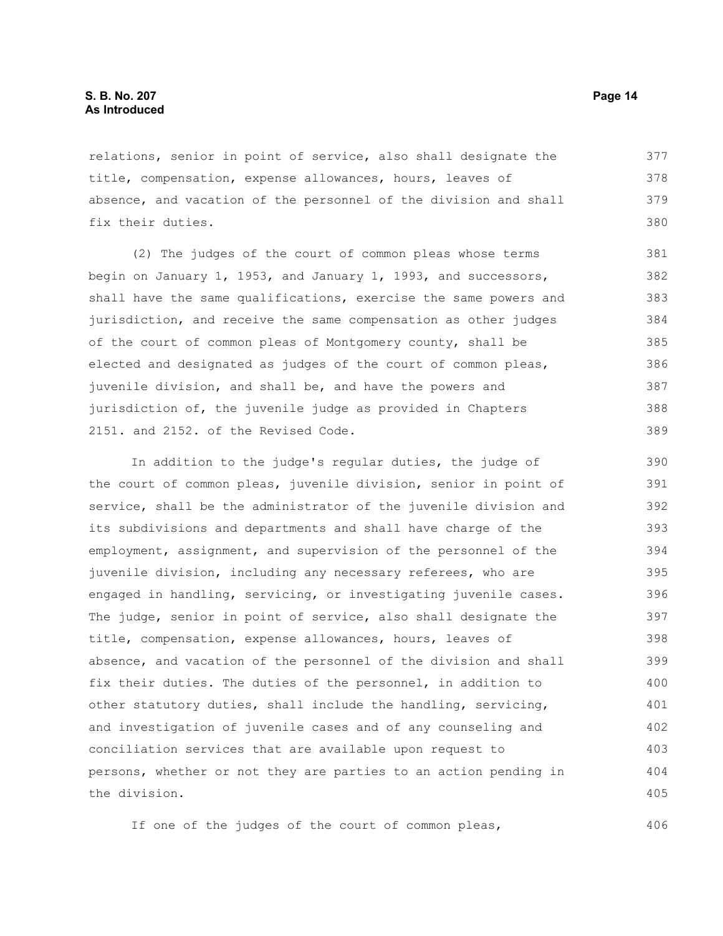relations, senior in point of service, also shall designate the title, compensation, expense allowances, hours, leaves of absence, and vacation of the personnel of the division and shall fix their duties. 377 378 379 380

(2) The judges of the court of common pleas whose terms begin on January 1, 1953, and January 1, 1993, and successors, shall have the same qualifications, exercise the same powers and jurisdiction, and receive the same compensation as other judges of the court of common pleas of Montgomery county, shall be elected and designated as judges of the court of common pleas, juvenile division, and shall be, and have the powers and jurisdiction of, the juvenile judge as provided in Chapters 2151. and 2152. of the Revised Code.

In addition to the judge's regular duties, the judge of the court of common pleas, juvenile division, senior in point of service, shall be the administrator of the juvenile division and its subdivisions and departments and shall have charge of the employment, assignment, and supervision of the personnel of the juvenile division, including any necessary referees, who are engaged in handling, servicing, or investigating juvenile cases. The judge, senior in point of service, also shall designate the title, compensation, expense allowances, hours, leaves of absence, and vacation of the personnel of the division and shall fix their duties. The duties of the personnel, in addition to other statutory duties, shall include the handling, servicing, and investigation of juvenile cases and of any counseling and conciliation services that are available upon request to persons, whether or not they are parties to an action pending in the division. 390 391 392 393 394 395 396 397 398 399 400 401 402 403 404 405

If one of the judges of the court of common pleas,

406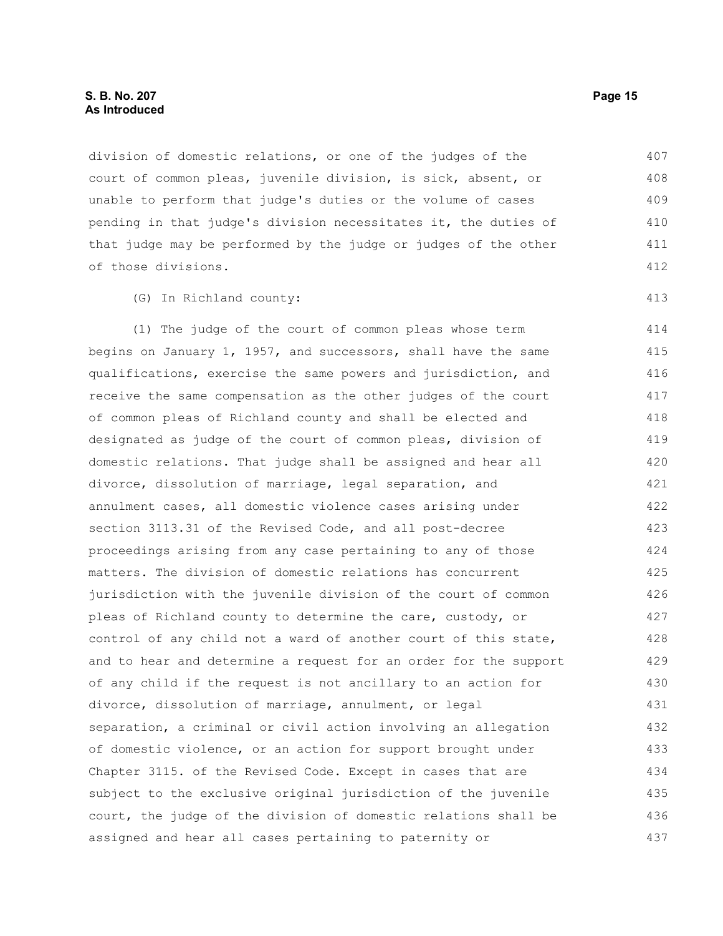division of domestic relations, or one of the judges of the court of common pleas, juvenile division, is sick, absent, or unable to perform that judge's duties or the volume of cases pending in that judge's division necessitates it, the duties of that judge may be performed by the judge or judges of the other of those divisions. 407 408 409 410 411 412

(G) In Richland county:

(1) The judge of the court of common pleas whose term begins on January 1, 1957, and successors, shall have the same qualifications, exercise the same powers and jurisdiction, and receive the same compensation as the other judges of the court of common pleas of Richland county and shall be elected and designated as judge of the court of common pleas, division of domestic relations. That judge shall be assigned and hear all divorce, dissolution of marriage, legal separation, and annulment cases, all domestic violence cases arising under section 3113.31 of the Revised Code, and all post-decree proceedings arising from any case pertaining to any of those matters. The division of domestic relations has concurrent jurisdiction with the juvenile division of the court of common pleas of Richland county to determine the care, custody, or control of any child not a ward of another court of this state, and to hear and determine a request for an order for the support of any child if the request is not ancillary to an action for divorce, dissolution of marriage, annulment, or legal separation, a criminal or civil action involving an allegation of domestic violence, or an action for support brought under Chapter 3115. of the Revised Code. Except in cases that are subject to the exclusive original jurisdiction of the juvenile court, the judge of the division of domestic relations shall be assigned and hear all cases pertaining to paternity or 414 415 416 417 418 419 420 421 422 423 424 425 426 427 428 429 430 431 432 433 434 435 436 437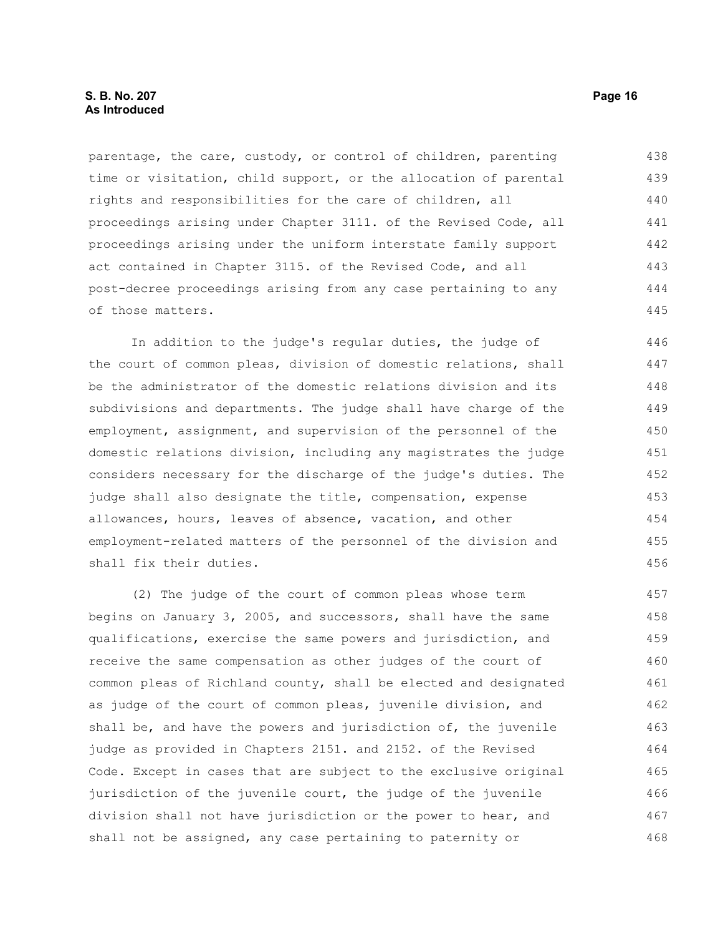parentage, the care, custody, or control of children, parenting time or visitation, child support, or the allocation of parental rights and responsibilities for the care of children, all proceedings arising under Chapter 3111. of the Revised Code, all proceedings arising under the uniform interstate family support act contained in Chapter 3115. of the Revised Code, and all post-decree proceedings arising from any case pertaining to any of those matters. 438 439 440 441 442 443 444 445

In addition to the judge's regular duties, the judge of the court of common pleas, division of domestic relations, shall be the administrator of the domestic relations division and its subdivisions and departments. The judge shall have charge of the employment, assignment, and supervision of the personnel of the domestic relations division, including any magistrates the judge considers necessary for the discharge of the judge's duties. The judge shall also designate the title, compensation, expense allowances, hours, leaves of absence, vacation, and other employment-related matters of the personnel of the division and shall fix their duties.

(2) The judge of the court of common pleas whose term begins on January 3, 2005, and successors, shall have the same qualifications, exercise the same powers and jurisdiction, and receive the same compensation as other judges of the court of common pleas of Richland county, shall be elected and designated as judge of the court of common pleas, juvenile division, and shall be, and have the powers and jurisdiction of, the juvenile judge as provided in Chapters 2151. and 2152. of the Revised Code. Except in cases that are subject to the exclusive original jurisdiction of the juvenile court, the judge of the juvenile division shall not have jurisdiction or the power to hear, and shall not be assigned, any case pertaining to paternity or 457 458 459 460 461 462 463 464 465 466 467 468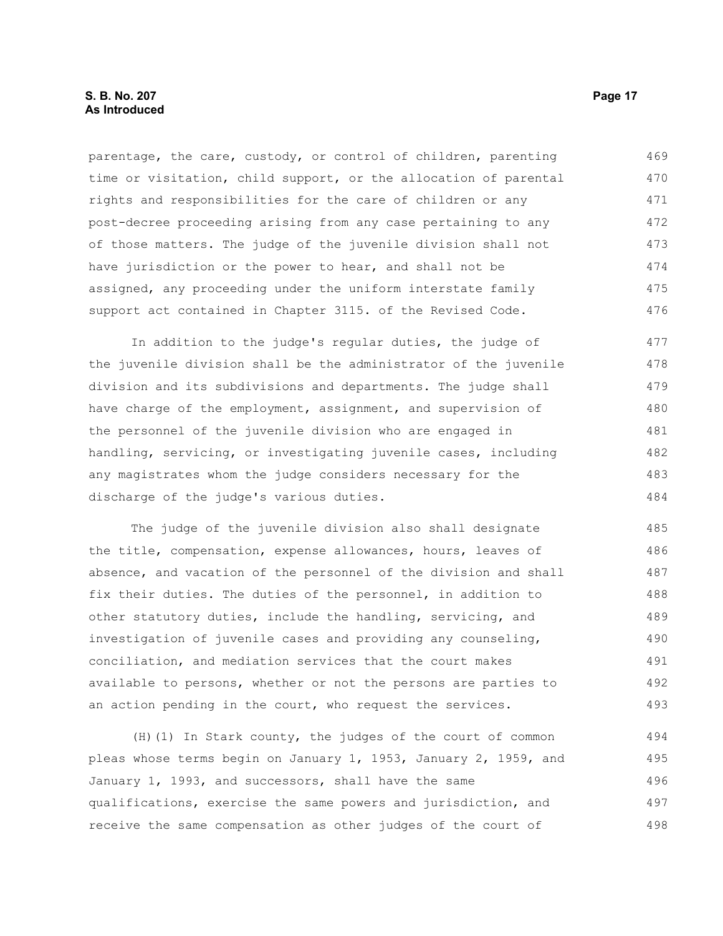parentage, the care, custody, or control of children, parenting time or visitation, child support, or the allocation of parental rights and responsibilities for the care of children or any post-decree proceeding arising from any case pertaining to any of those matters. The judge of the juvenile division shall not have jurisdiction or the power to hear, and shall not be assigned, any proceeding under the uniform interstate family support act contained in Chapter 3115. of the Revised Code. 469 470 471 472 473 474 475 476

In addition to the judge's regular duties, the judge of the juvenile division shall be the administrator of the juvenile division and its subdivisions and departments. The judge shall have charge of the employment, assignment, and supervision of the personnel of the juvenile division who are engaged in handling, servicing, or investigating juvenile cases, including any magistrates whom the judge considers necessary for the discharge of the judge's various duties. 477 478 479 480 481 482 483 484

The judge of the juvenile division also shall designate the title, compensation, expense allowances, hours, leaves of absence, and vacation of the personnel of the division and shall fix their duties. The duties of the personnel, in addition to other statutory duties, include the handling, servicing, and investigation of juvenile cases and providing any counseling, conciliation, and mediation services that the court makes available to persons, whether or not the persons are parties to an action pending in the court, who request the services. 485 486 487 488 489 490 491 492 493

(H)(1) In Stark county, the judges of the court of common pleas whose terms begin on January 1, 1953, January 2, 1959, and January 1, 1993, and successors, shall have the same qualifications, exercise the same powers and jurisdiction, and receive the same compensation as other judges of the court of 494 495 496 497 498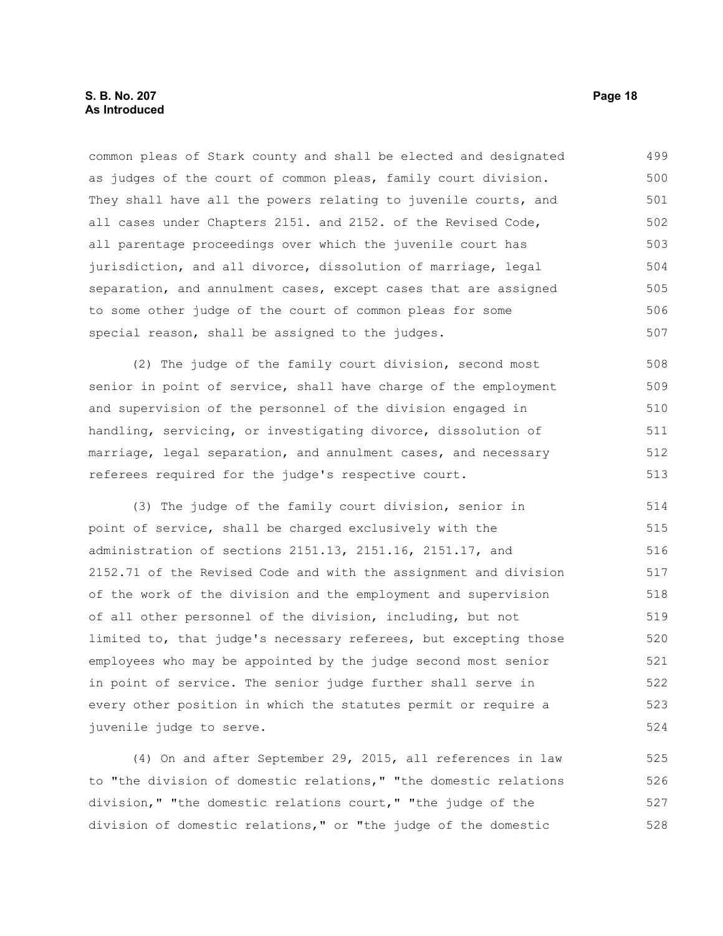common pleas of Stark county and shall be elected and designated as judges of the court of common pleas, family court division. They shall have all the powers relating to juvenile courts, and all cases under Chapters 2151. and 2152. of the Revised Code, all parentage proceedings over which the juvenile court has jurisdiction, and all divorce, dissolution of marriage, legal separation, and annulment cases, except cases that are assigned to some other judge of the court of common pleas for some special reason, shall be assigned to the judges. 499 500 501 502 503 504 505 506 507

(2) The judge of the family court division, second most senior in point of service, shall have charge of the employment and supervision of the personnel of the division engaged in handling, servicing, or investigating divorce, dissolution of marriage, legal separation, and annulment cases, and necessary referees required for the judge's respective court. 508 509 510 511 512 513

(3) The judge of the family court division, senior in point of service, shall be charged exclusively with the administration of sections 2151.13, 2151.16, 2151.17, and 2152.71 of the Revised Code and with the assignment and division of the work of the division and the employment and supervision of all other personnel of the division, including, but not limited to, that judge's necessary referees, but excepting those employees who may be appointed by the judge second most senior in point of service. The senior judge further shall serve in every other position in which the statutes permit or require a juvenile judge to serve. 514 515 516 517 518 519 520 521 522 523 524

(4) On and after September 29, 2015, all references in law to "the division of domestic relations," "the domestic relations division," "the domestic relations court," "the judge of the division of domestic relations," or "the judge of the domestic 525 526 527 528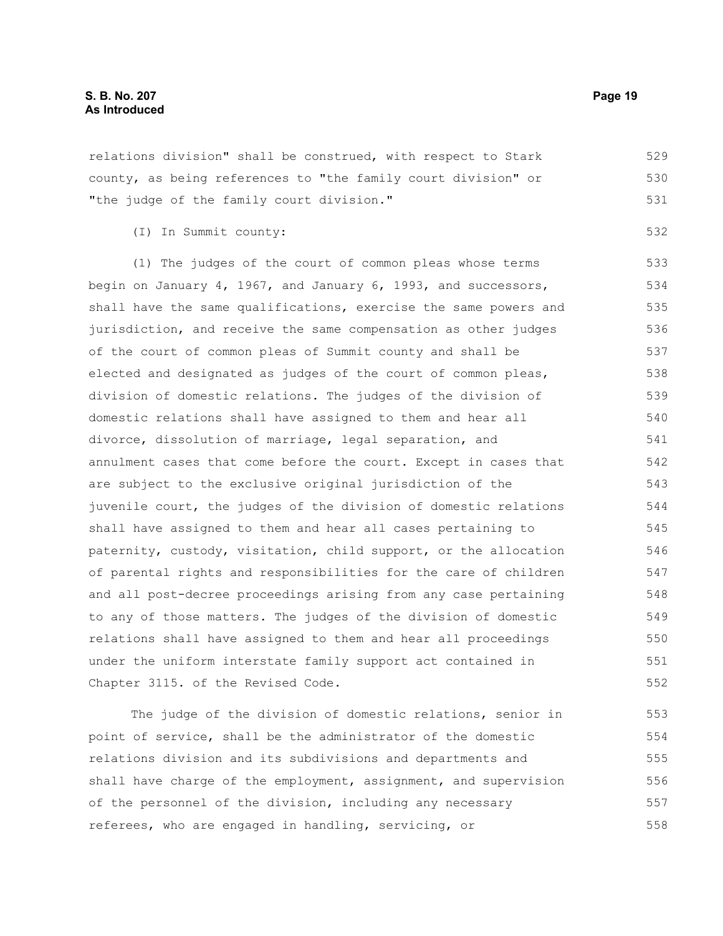relations division" shall be construed, with respect to Stark county, as being references to "the family court division" or "the judge of the family court division." 529 530 531

(I) In Summit county:

(1) The judges of the court of common pleas whose terms begin on January 4, 1967, and January 6, 1993, and successors, shall have the same qualifications, exercise the same powers and jurisdiction, and receive the same compensation as other judges of the court of common pleas of Summit county and shall be elected and designated as judges of the court of common pleas, division of domestic relations. The judges of the division of domestic relations shall have assigned to them and hear all divorce, dissolution of marriage, legal separation, and annulment cases that come before the court. Except in cases that are subject to the exclusive original jurisdiction of the juvenile court, the judges of the division of domestic relations shall have assigned to them and hear all cases pertaining to paternity, custody, visitation, child support, or the allocation of parental rights and responsibilities for the care of children and all post-decree proceedings arising from any case pertaining to any of those matters. The judges of the division of domestic relations shall have assigned to them and hear all proceedings under the uniform interstate family support act contained in Chapter 3115. of the Revised Code. 533 534 535 536 537 538 539 540 541 542 543 544 545 546 547 548 549 550 551 552

The judge of the division of domestic relations, senior in point of service, shall be the administrator of the domestic relations division and its subdivisions and departments and shall have charge of the employment, assignment, and supervision of the personnel of the division, including any necessary referees, who are engaged in handling, servicing, or 553 554 555 556 557 558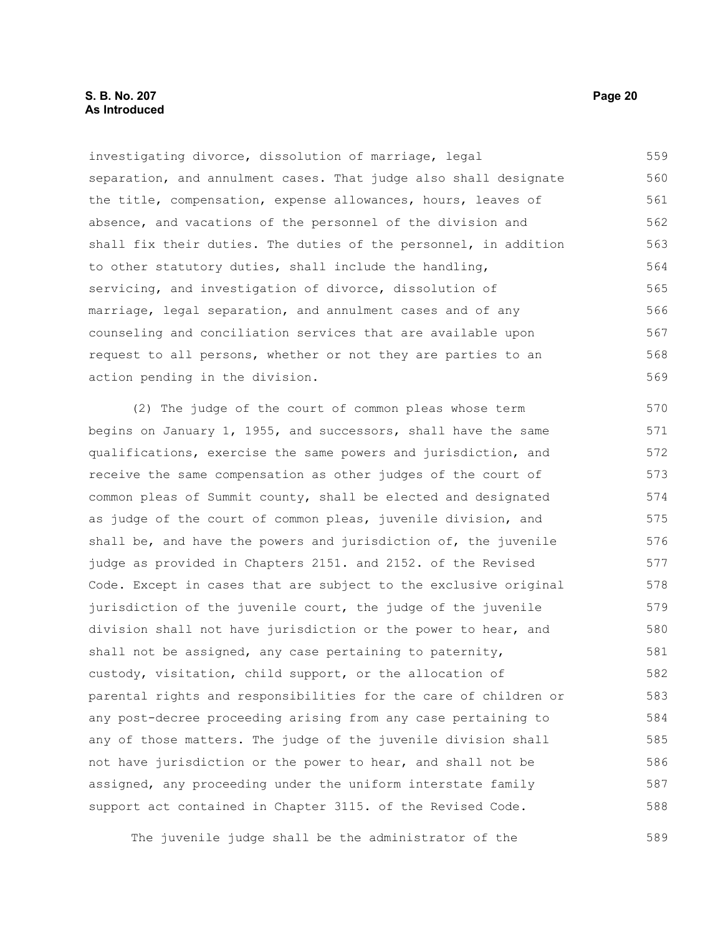## **S. B. No. 207 Page 20 As Introduced**

investigating divorce, dissolution of marriage, legal separation, and annulment cases. That judge also shall designate the title, compensation, expense allowances, hours, leaves of absence, and vacations of the personnel of the division and shall fix their duties. The duties of the personnel, in addition to other statutory duties, shall include the handling, servicing, and investigation of divorce, dissolution of marriage, legal separation, and annulment cases and of any counseling and conciliation services that are available upon request to all persons, whether or not they are parties to an action pending in the division. 559 560 561 562 563 564 565 566 567 568 569

(2) The judge of the court of common pleas whose term begins on January 1, 1955, and successors, shall have the same qualifications, exercise the same powers and jurisdiction, and receive the same compensation as other judges of the court of common pleas of Summit county, shall be elected and designated as judge of the court of common pleas, juvenile division, and shall be, and have the powers and jurisdiction of, the juvenile judge as provided in Chapters 2151. and 2152. of the Revised Code. Except in cases that are subject to the exclusive original jurisdiction of the juvenile court, the judge of the juvenile division shall not have jurisdiction or the power to hear, and shall not be assigned, any case pertaining to paternity, custody, visitation, child support, or the allocation of parental rights and responsibilities for the care of children or any post-decree proceeding arising from any case pertaining to any of those matters. The judge of the juvenile division shall not have jurisdiction or the power to hear, and shall not be assigned, any proceeding under the uniform interstate family support act contained in Chapter 3115. of the Revised Code. 570 571 572 573 574 575 576 577 578 579 580 581 582 583 584 585 586 587 588

The juvenile judge shall be the administrator of the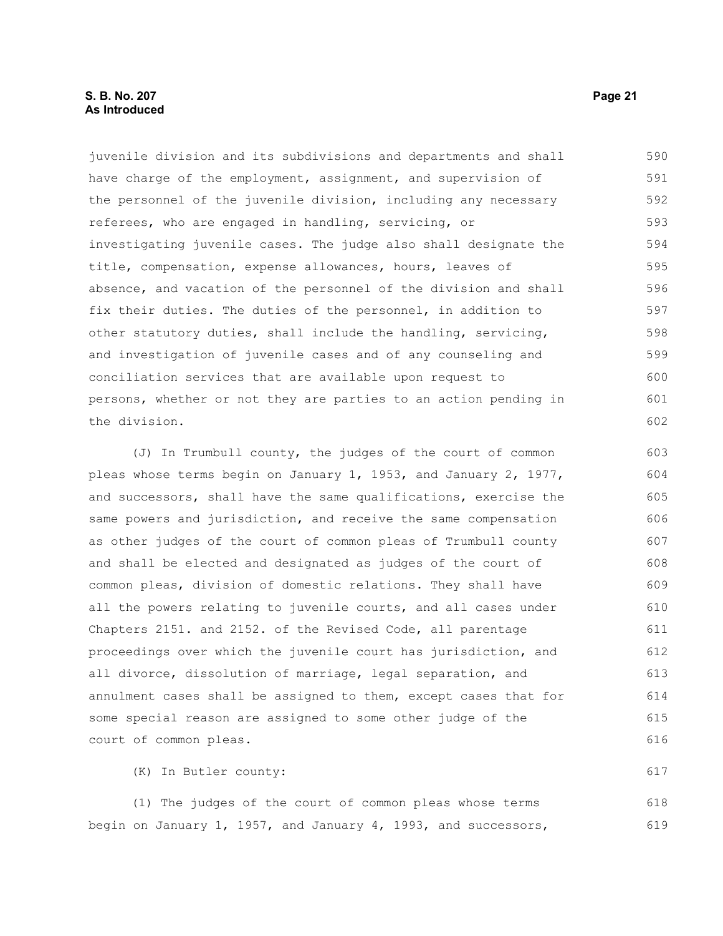## **S. B. No. 207 Page 21 As Introduced**

juvenile division and its subdivisions and departments and shall have charge of the employment, assignment, and supervision of the personnel of the juvenile division, including any necessary referees, who are engaged in handling, servicing, or investigating juvenile cases. The judge also shall designate the title, compensation, expense allowances, hours, leaves of absence, and vacation of the personnel of the division and shall fix their duties. The duties of the personnel, in addition to other statutory duties, shall include the handling, servicing, and investigation of juvenile cases and of any counseling and conciliation services that are available upon request to persons, whether or not they are parties to an action pending in the division. 590 591 592 593 594 595 596 597 598 599 600 601 602

(J) In Trumbull county, the judges of the court of common pleas whose terms begin on January 1, 1953, and January 2, 1977, and successors, shall have the same qualifications, exercise the same powers and jurisdiction, and receive the same compensation as other judges of the court of common pleas of Trumbull county and shall be elected and designated as judges of the court of common pleas, division of domestic relations. They shall have all the powers relating to juvenile courts, and all cases under Chapters 2151. and 2152. of the Revised Code, all parentage proceedings over which the juvenile court has jurisdiction, and all divorce, dissolution of marriage, legal separation, and annulment cases shall be assigned to them, except cases that for some special reason are assigned to some other judge of the court of common pleas. 603 604 605 606 607 608 609 610 611 612 613 614 615 616

(K) In Butler county:

(1) The judges of the court of common pleas whose terms begin on January 1, 1957, and January 4, 1993, and successors, 618 619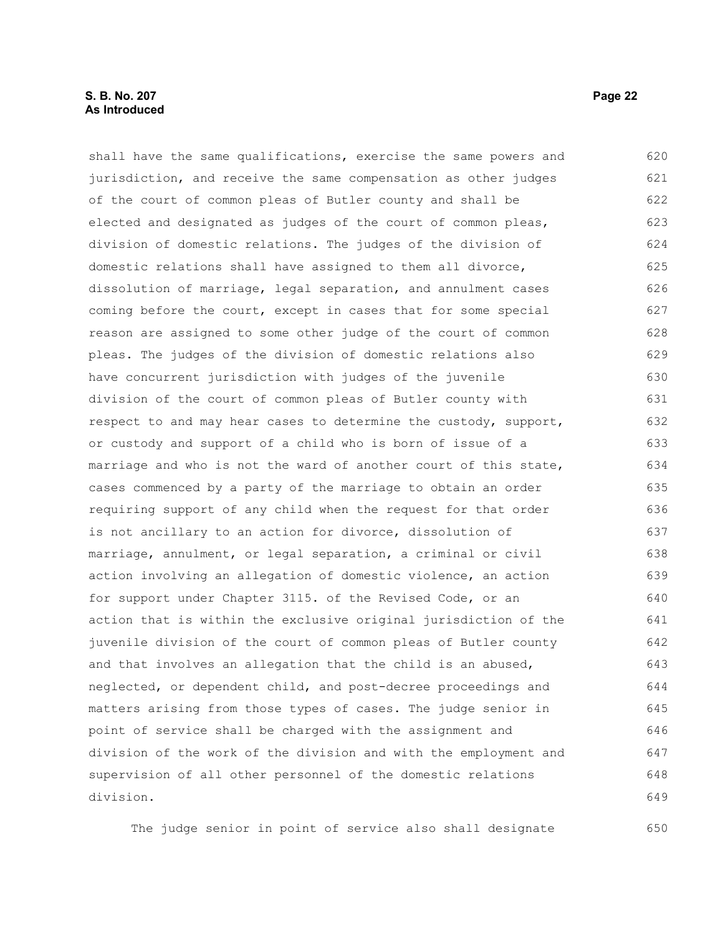## **S. B. No. 207 Page 22 As Introduced**

shall have the same qualifications, exercise the same powers and jurisdiction, and receive the same compensation as other judges of the court of common pleas of Butler county and shall be elected and designated as judges of the court of common pleas, division of domestic relations. The judges of the division of domestic relations shall have assigned to them all divorce, dissolution of marriage, legal separation, and annulment cases coming before the court, except in cases that for some special reason are assigned to some other judge of the court of common pleas. The judges of the division of domestic relations also have concurrent jurisdiction with judges of the juvenile division of the court of common pleas of Butler county with respect to and may hear cases to determine the custody, support, or custody and support of a child who is born of issue of a marriage and who is not the ward of another court of this state, cases commenced by a party of the marriage to obtain an order requiring support of any child when the request for that order is not ancillary to an action for divorce, dissolution of marriage, annulment, or legal separation, a criminal or civil action involving an allegation of domestic violence, an action for support under Chapter 3115. of the Revised Code, or an action that is within the exclusive original jurisdiction of the juvenile division of the court of common pleas of Butler county and that involves an allegation that the child is an abused, neglected, or dependent child, and post-decree proceedings and matters arising from those types of cases. The judge senior in point of service shall be charged with the assignment and division of the work of the division and with the employment and supervision of all other personnel of the domestic relations division. 620 621 622 623 624 625 626 627 628 629 630 631 632 633 634 635 636 637 638 639 640 641 642 643 644 645 646 647 648 649

The judge senior in point of service also shall designate 650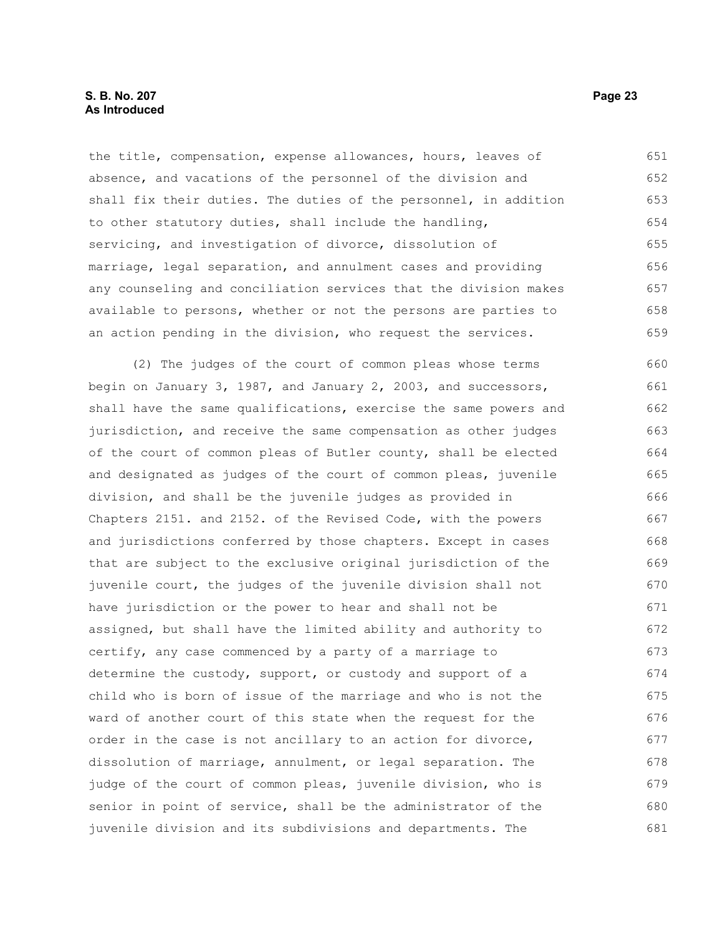the title, compensation, expense allowances, hours, leaves of absence, and vacations of the personnel of the division and shall fix their duties. The duties of the personnel, in addition to other statutory duties, shall include the handling, servicing, and investigation of divorce, dissolution of marriage, legal separation, and annulment cases and providing any counseling and conciliation services that the division makes available to persons, whether or not the persons are parties to an action pending in the division, who request the services. 651 652 653 654 655 656 657 658 659

(2) The judges of the court of common pleas whose terms begin on January 3, 1987, and January 2, 2003, and successors, shall have the same qualifications, exercise the same powers and jurisdiction, and receive the same compensation as other judges of the court of common pleas of Butler county, shall be elected and designated as judges of the court of common pleas, juvenile division, and shall be the juvenile judges as provided in Chapters 2151. and 2152. of the Revised Code, with the powers and jurisdictions conferred by those chapters. Except in cases that are subject to the exclusive original jurisdiction of the juvenile court, the judges of the juvenile division shall not have jurisdiction or the power to hear and shall not be assigned, but shall have the limited ability and authority to certify, any case commenced by a party of a marriage to determine the custody, support, or custody and support of a child who is born of issue of the marriage and who is not the ward of another court of this state when the request for the order in the case is not ancillary to an action for divorce, dissolution of marriage, annulment, or legal separation. The judge of the court of common pleas, juvenile division, who is senior in point of service, shall be the administrator of the juvenile division and its subdivisions and departments. The 660 661 662 663 664 665 666 667 668 669 670 671 672 673 674 675 676 677 678 679 680 681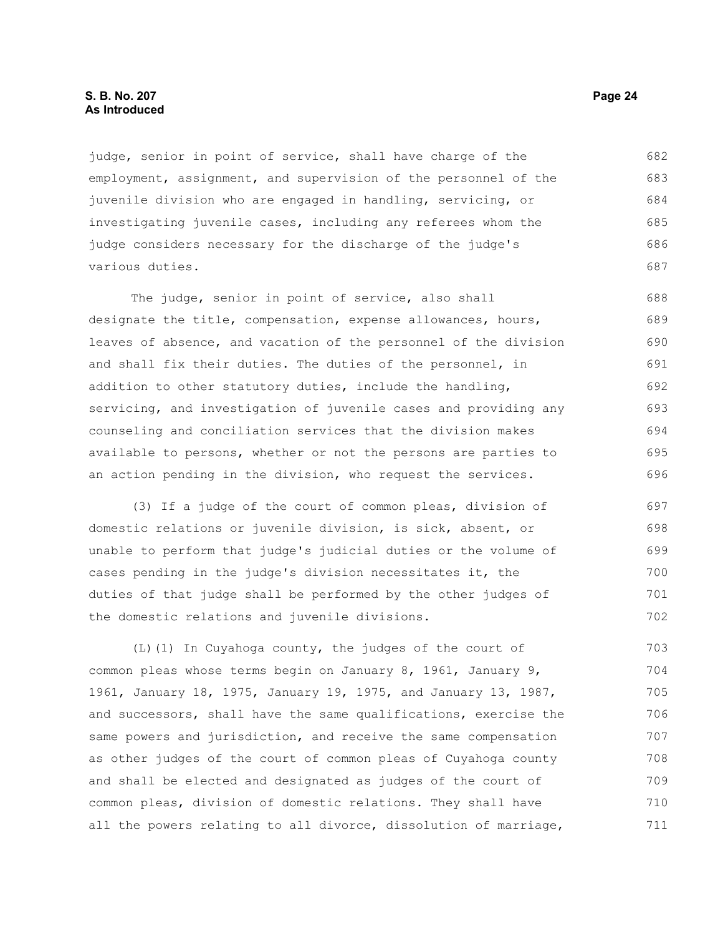## **S. B. No. 207 Page 24 As Introduced**

judge, senior in point of service, shall have charge of the employment, assignment, and supervision of the personnel of the juvenile division who are engaged in handling, servicing, or investigating juvenile cases, including any referees whom the judge considers necessary for the discharge of the judge's various duties. 682 683 684 685 686 687

The judge, senior in point of service, also shall designate the title, compensation, expense allowances, hours, leaves of absence, and vacation of the personnel of the division and shall fix their duties. The duties of the personnel, in addition to other statutory duties, include the handling, servicing, and investigation of juvenile cases and providing any counseling and conciliation services that the division makes available to persons, whether or not the persons are parties to an action pending in the division, who request the services. 688 689 690 691 692 693 694 695 696

(3) If a judge of the court of common pleas, division of domestic relations or juvenile division, is sick, absent, or unable to perform that judge's judicial duties or the volume of cases pending in the judge's division necessitates it, the duties of that judge shall be performed by the other judges of the domestic relations and juvenile divisions. 697 698 699 700 701 702

(L)(1) In Cuyahoga county, the judges of the court of common pleas whose terms begin on January 8, 1961, January 9, 1961, January 18, 1975, January 19, 1975, and January 13, 1987, and successors, shall have the same qualifications, exercise the same powers and jurisdiction, and receive the same compensation as other judges of the court of common pleas of Cuyahoga county and shall be elected and designated as judges of the court of common pleas, division of domestic relations. They shall have all the powers relating to all divorce, dissolution of marriage, 703 704 705 706 707 708 709 710 711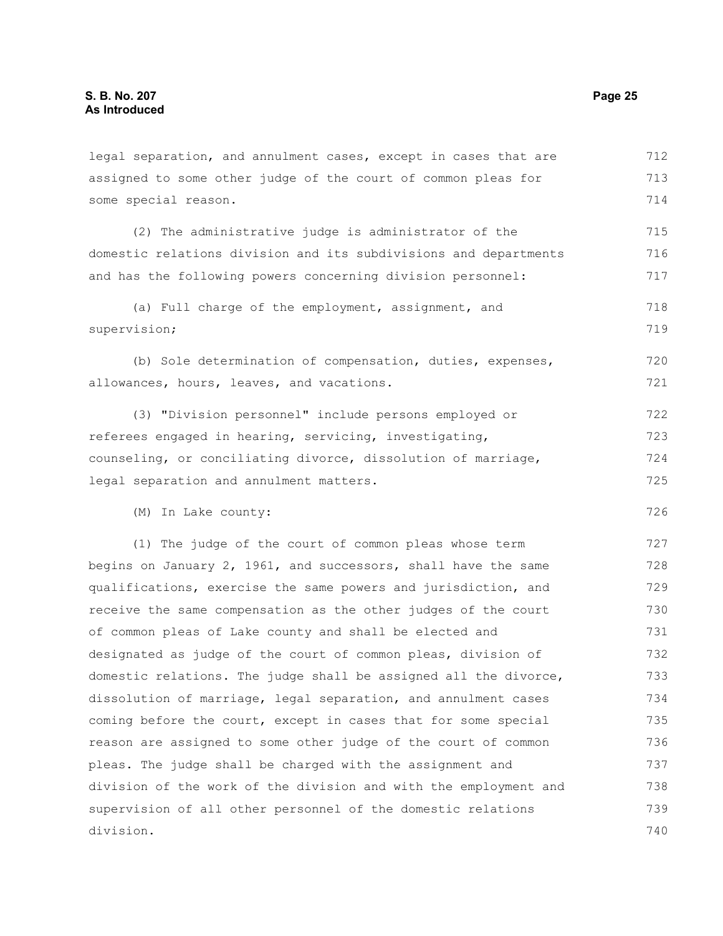division.

assigned to some other judge of the court of common pleas for some special reason. (2) The administrative judge is administrator of the domestic relations division and its subdivisions and departments and has the following powers concerning division personnel: (a) Full charge of the employment, assignment, and supervision; (b) Sole determination of compensation, duties, expenses, allowances, hours, leaves, and vacations. (3) "Division personnel" include persons employed or referees engaged in hearing, servicing, investigating, counseling, or conciliating divorce, dissolution of marriage, legal separation and annulment matters. (M) In Lake county: (1) The judge of the court of common pleas whose term begins on January 2, 1961, and successors, shall have the same qualifications, exercise the same powers and jurisdiction, and receive the same compensation as the other judges of the court of common pleas of Lake county and shall be elected and designated as judge of the court of common pleas, division of domestic relations. The judge shall be assigned all the divorce, dissolution of marriage, legal separation, and annulment cases coming before the court, except in cases that for some special reason are assigned to some other judge of the court of common pleas. The judge shall be charged with the assignment and division of the work of the division and with the employment and supervision of all other personnel of the domestic relations 713 714 715 716 717 718 719 720 721 722 723 724 725 726 727 728 729 730 731 732 733 734 735 736 737 738 739

legal separation, and annulment cases, except in cases that are

712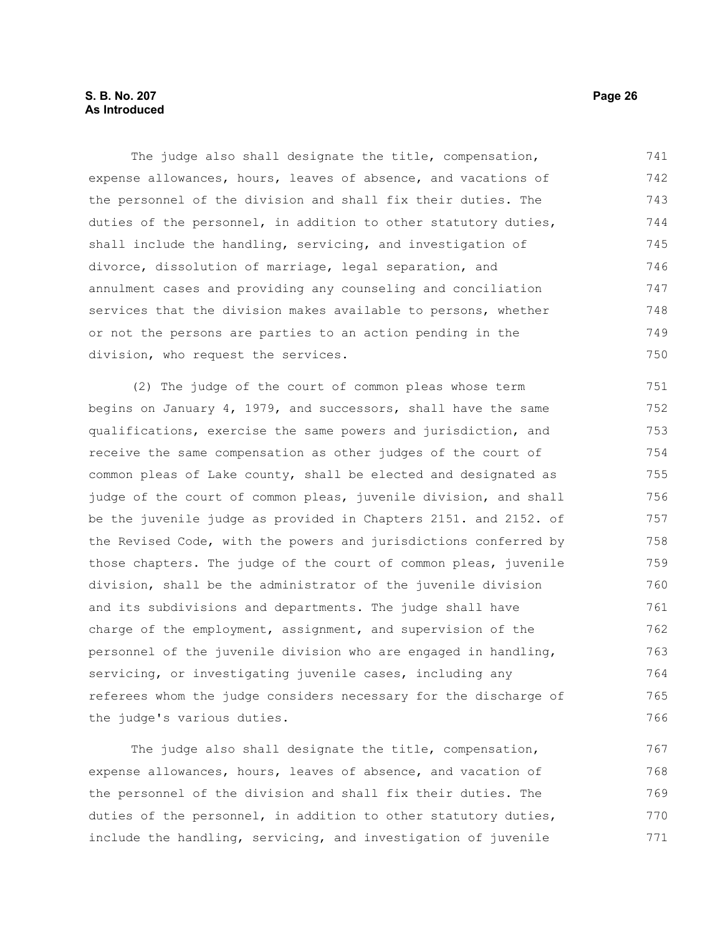## **S. B. No. 207 Page 26 As Introduced**

The judge also shall designate the title, compensation, expense allowances, hours, leaves of absence, and vacations of the personnel of the division and shall fix their duties. The duties of the personnel, in addition to other statutory duties, shall include the handling, servicing, and investigation of divorce, dissolution of marriage, legal separation, and annulment cases and providing any counseling and conciliation services that the division makes available to persons, whether or not the persons are parties to an action pending in the division, who request the services. 741 742 743 744 745 746 747 748 749 750

(2) The judge of the court of common pleas whose term begins on January 4, 1979, and successors, shall have the same qualifications, exercise the same powers and jurisdiction, and receive the same compensation as other judges of the court of common pleas of Lake county, shall be elected and designated as judge of the court of common pleas, juvenile division, and shall be the juvenile judge as provided in Chapters 2151. and 2152. of the Revised Code, with the powers and jurisdictions conferred by those chapters. The judge of the court of common pleas, juvenile division, shall be the administrator of the juvenile division and its subdivisions and departments. The judge shall have charge of the employment, assignment, and supervision of the personnel of the juvenile division who are engaged in handling, servicing, or investigating juvenile cases, including any referees whom the judge considers necessary for the discharge of the judge's various duties. 751 752 753 754 755 756 757 758 759 760 761 762 763 764 765 766

The judge also shall designate the title, compensation, expense allowances, hours, leaves of absence, and vacation of the personnel of the division and shall fix their duties. The duties of the personnel, in addition to other statutory duties, include the handling, servicing, and investigation of juvenile 767 768 769 770 771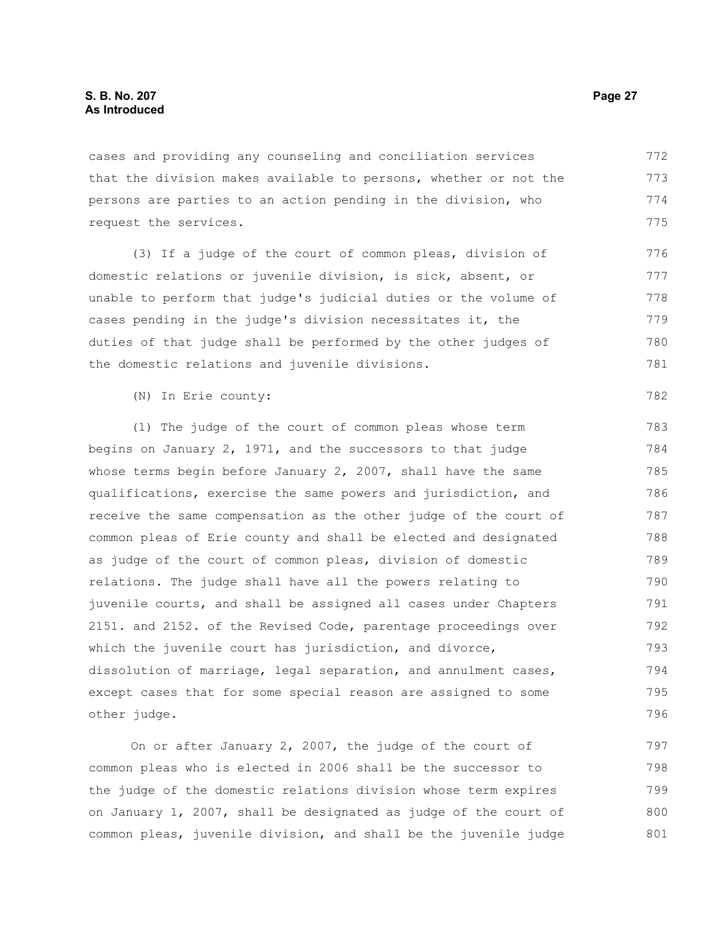cases and providing any counseling and conciliation services that the division makes available to persons, whether or not the persons are parties to an action pending in the division, who request the services. 772 773 774 775

(3) If a judge of the court of common pleas, division of domestic relations or juvenile division, is sick, absent, or unable to perform that judge's judicial duties or the volume of cases pending in the judge's division necessitates it, the duties of that judge shall be performed by the other judges of the domestic relations and juvenile divisions.

(N) In Erie county:

(1) The judge of the court of common pleas whose term begins on January 2, 1971, and the successors to that judge whose terms begin before January 2, 2007, shall have the same qualifications, exercise the same powers and jurisdiction, and receive the same compensation as the other judge of the court of common pleas of Erie county and shall be elected and designated as judge of the court of common pleas, division of domestic relations. The judge shall have all the powers relating to juvenile courts, and shall be assigned all cases under Chapters 2151. and 2152. of the Revised Code, parentage proceedings over which the juvenile court has jurisdiction, and divorce, dissolution of marriage, legal separation, and annulment cases, except cases that for some special reason are assigned to some other judge. 783 784 785 786 787 788 789 790 791 792 793 794 795 796

On or after January 2, 2007, the judge of the court of common pleas who is elected in 2006 shall be the successor to the judge of the domestic relations division whose term expires on January 1, 2007, shall be designated as judge of the court of common pleas, juvenile division, and shall be the juvenile judge 797 798 799 800 801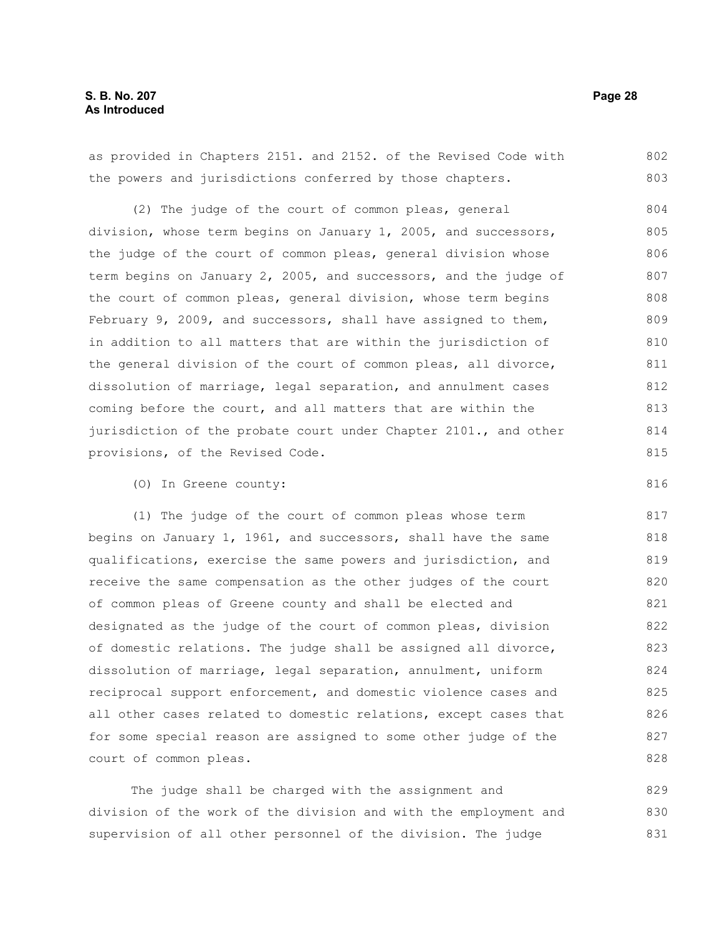816

#### as provided in Chapters 2151. and 2152. of the Revised Code with the powers and jurisdictions conferred by those chapters. (2) The judge of the court of common pleas, general division, whose term begins on January 1, 2005, and successors, the judge of the court of common pleas, general division whose term begins on January 2, 2005, and successors, and the judge of the court of common pleas, general division, whose term begins February 9, 2009, and successors, shall have assigned to them, in addition to all matters that are within the jurisdiction of the general division of the court of common pleas, all divorce, dissolution of marriage, legal separation, and annulment cases coming before the court, and all matters that are within the jurisdiction of the probate court under Chapter 2101., and other provisions, of the Revised Code. 802 803 804 805 806 807 808 809 810 811 812 813 814 815

(O) In Greene county:

(1) The judge of the court of common pleas whose term begins on January 1, 1961, and successors, shall have the same qualifications, exercise the same powers and jurisdiction, and receive the same compensation as the other judges of the court of common pleas of Greene county and shall be elected and designated as the judge of the court of common pleas, division of domestic relations. The judge shall be assigned all divorce, dissolution of marriage, legal separation, annulment, uniform reciprocal support enforcement, and domestic violence cases and all other cases related to domestic relations, except cases that for some special reason are assigned to some other judge of the court of common pleas.

The judge shall be charged with the assignment and division of the work of the division and with the employment and supervision of all other personnel of the division. The judge 829 830 831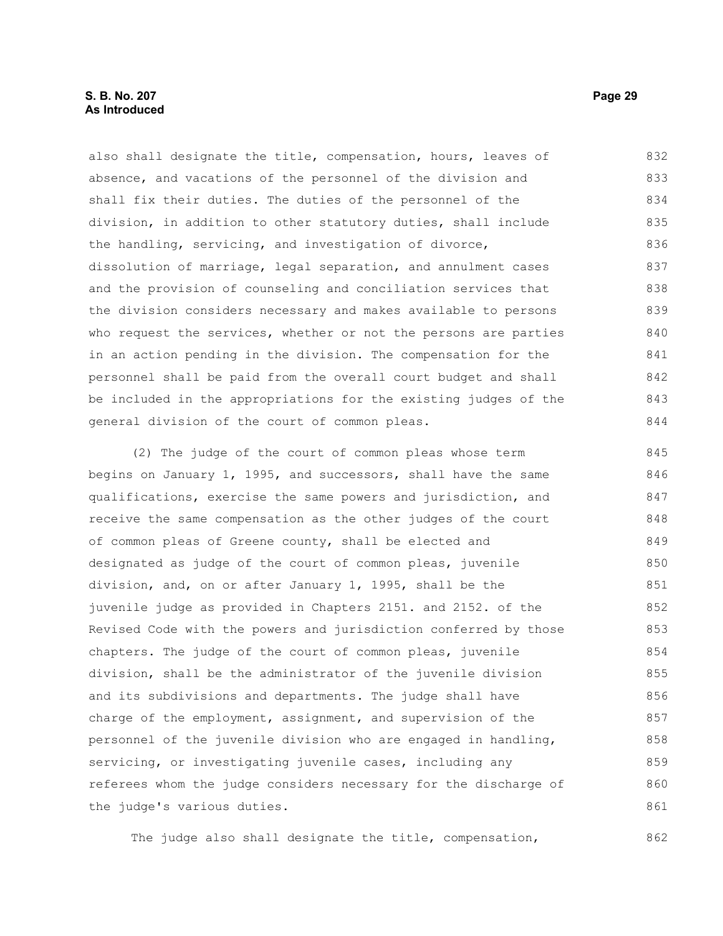## **S. B. No. 207 Page 29 As Introduced**

also shall designate the title, compensation, hours, leaves of absence, and vacations of the personnel of the division and shall fix their duties. The duties of the personnel of the division, in addition to other statutory duties, shall include the handling, servicing, and investigation of divorce, dissolution of marriage, legal separation, and annulment cases and the provision of counseling and conciliation services that the division considers necessary and makes available to persons who request the services, whether or not the persons are parties in an action pending in the division. The compensation for the personnel shall be paid from the overall court budget and shall be included in the appropriations for the existing judges of the general division of the court of common pleas. 832 833 834 835 836 837 838 839 840 841 842 843 844

(2) The judge of the court of common pleas whose term begins on January 1, 1995, and successors, shall have the same qualifications, exercise the same powers and jurisdiction, and receive the same compensation as the other judges of the court of common pleas of Greene county, shall be elected and designated as judge of the court of common pleas, juvenile division, and, on or after January 1, 1995, shall be the juvenile judge as provided in Chapters 2151. and 2152. of the Revised Code with the powers and jurisdiction conferred by those chapters. The judge of the court of common pleas, juvenile division, shall be the administrator of the juvenile division and its subdivisions and departments. The judge shall have charge of the employment, assignment, and supervision of the personnel of the juvenile division who are engaged in handling, servicing, or investigating juvenile cases, including any referees whom the judge considers necessary for the discharge of the judge's various duties. 845 846 847 848 849 850 851 852 853 854 855 856 857 858 859 860 861

The judge also shall designate the title, compensation,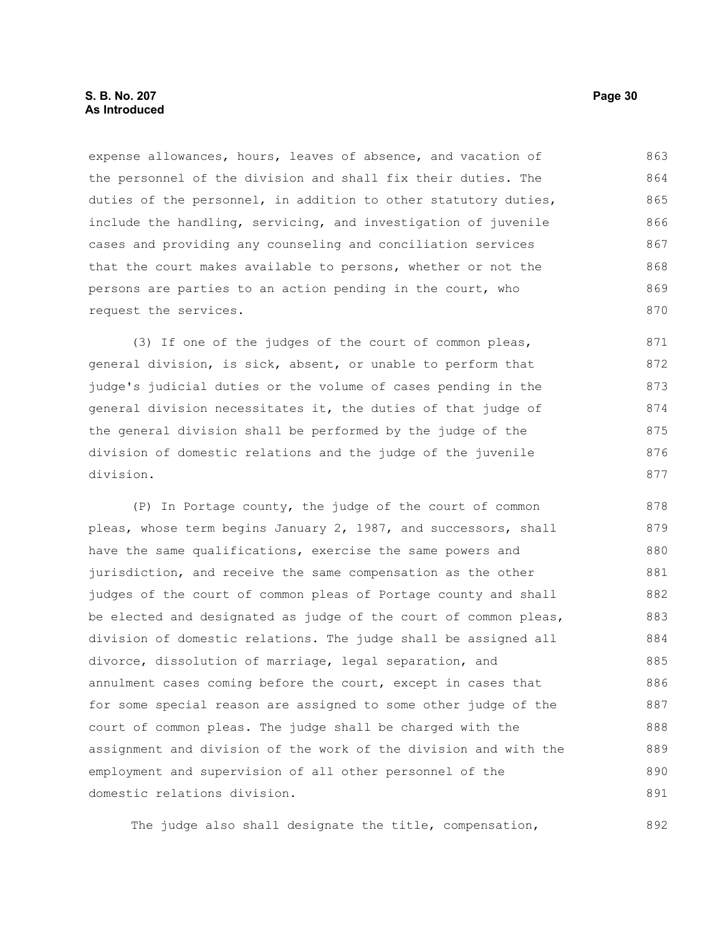expense allowances, hours, leaves of absence, and vacation of the personnel of the division and shall fix their duties. The duties of the personnel, in addition to other statutory duties, include the handling, servicing, and investigation of juvenile cases and providing any counseling and conciliation services that the court makes available to persons, whether or not the persons are parties to an action pending in the court, who request the services. 863 864 865 866 867 868 869 870

(3) If one of the judges of the court of common pleas, general division, is sick, absent, or unable to perform that judge's judicial duties or the volume of cases pending in the general division necessitates it, the duties of that judge of the general division shall be performed by the judge of the division of domestic relations and the judge of the juvenile division. 871 872 873 874 875 876 877

(P) In Portage county, the judge of the court of common pleas, whose term begins January 2, 1987, and successors, shall have the same qualifications, exercise the same powers and jurisdiction, and receive the same compensation as the other judges of the court of common pleas of Portage county and shall be elected and designated as judge of the court of common pleas, division of domestic relations. The judge shall be assigned all divorce, dissolution of marriage, legal separation, and annulment cases coming before the court, except in cases that for some special reason are assigned to some other judge of the court of common pleas. The judge shall be charged with the assignment and division of the work of the division and with the employment and supervision of all other personnel of the domestic relations division. 878 879 880 881 882 883 884 885 886 887 888 889 890 891

The judge also shall designate the title, compensation,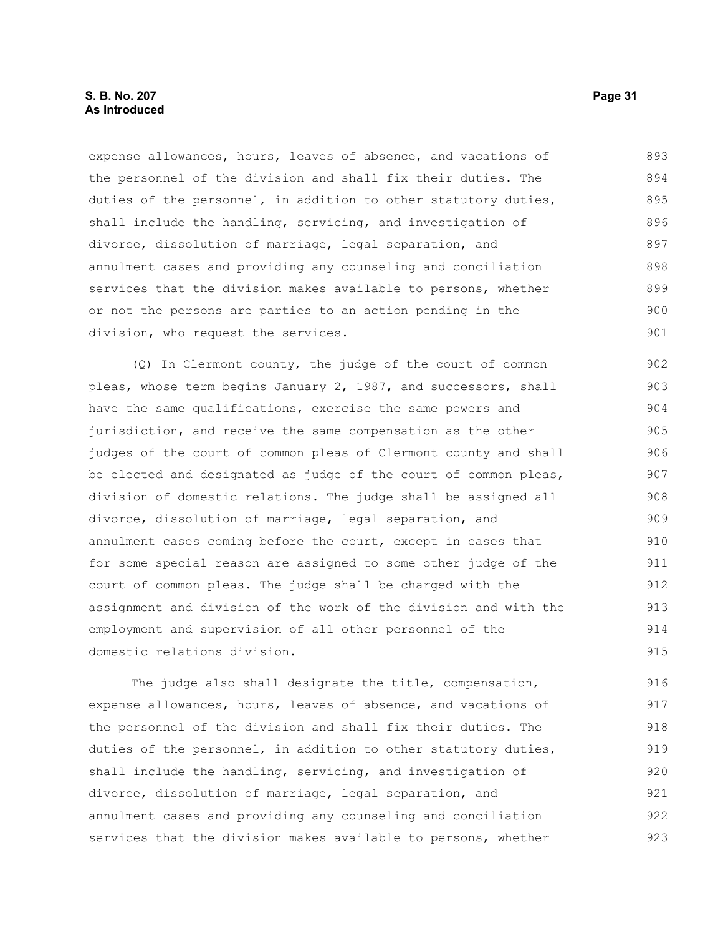## **S. B. No. 207 Page 31 As Introduced**

expense allowances, hours, leaves of absence, and vacations of the personnel of the division and shall fix their duties. The duties of the personnel, in addition to other statutory duties, shall include the handling, servicing, and investigation of divorce, dissolution of marriage, legal separation, and annulment cases and providing any counseling and conciliation services that the division makes available to persons, whether or not the persons are parties to an action pending in the division, who request the services. 893 894 895 896 897 898 899 900 901

(Q) In Clermont county, the judge of the court of common pleas, whose term begins January 2, 1987, and successors, shall have the same qualifications, exercise the same powers and jurisdiction, and receive the same compensation as the other judges of the court of common pleas of Clermont county and shall be elected and designated as judge of the court of common pleas, division of domestic relations. The judge shall be assigned all divorce, dissolution of marriage, legal separation, and annulment cases coming before the court, except in cases that for some special reason are assigned to some other judge of the court of common pleas. The judge shall be charged with the assignment and division of the work of the division and with the employment and supervision of all other personnel of the domestic relations division. 902 903 904 905 906 907 908 909 910 911 912 913 914 915

The judge also shall designate the title, compensation, expense allowances, hours, leaves of absence, and vacations of the personnel of the division and shall fix their duties. The duties of the personnel, in addition to other statutory duties, shall include the handling, servicing, and investigation of divorce, dissolution of marriage, legal separation, and annulment cases and providing any counseling and conciliation services that the division makes available to persons, whether 916 917 918 919 920 921 922 923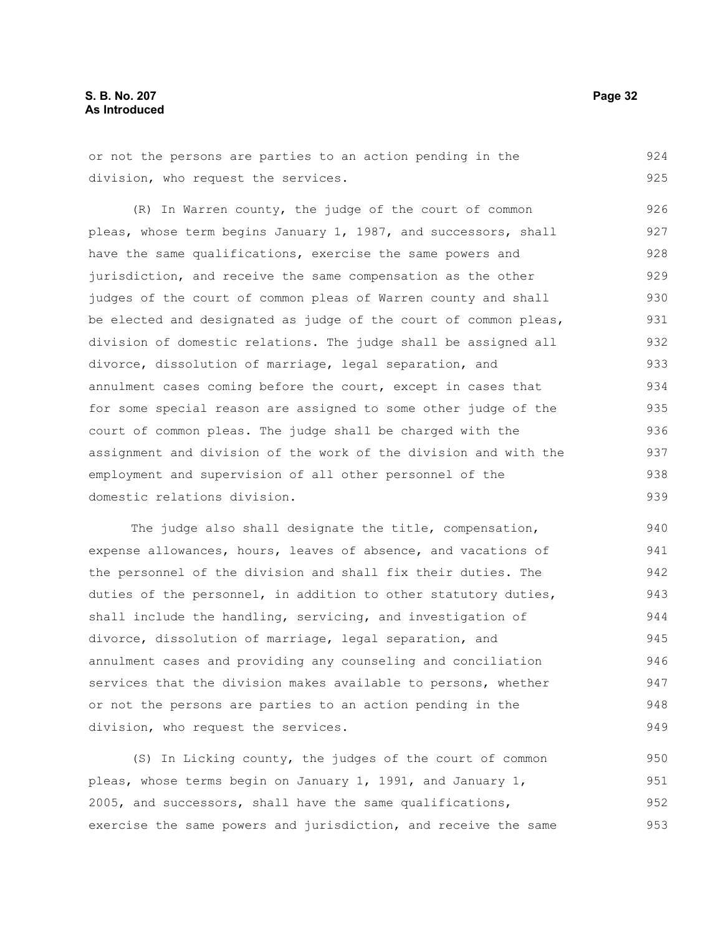or not the persons are parties to an action pending in the division, who request the services. 924 925

(R) In Warren county, the judge of the court of common pleas, whose term begins January 1, 1987, and successors, shall have the same qualifications, exercise the same powers and jurisdiction, and receive the same compensation as the other judges of the court of common pleas of Warren county and shall be elected and designated as judge of the court of common pleas, division of domestic relations. The judge shall be assigned all divorce, dissolution of marriage, legal separation, and annulment cases coming before the court, except in cases that for some special reason are assigned to some other judge of the court of common pleas. The judge shall be charged with the assignment and division of the work of the division and with the employment and supervision of all other personnel of the domestic relations division. 926 927 928 929 930 931 932 933 934 935 936 937 938 939

The judge also shall designate the title, compensation, expense allowances, hours, leaves of absence, and vacations of the personnel of the division and shall fix their duties. The duties of the personnel, in addition to other statutory duties, shall include the handling, servicing, and investigation of divorce, dissolution of marriage, legal separation, and annulment cases and providing any counseling and conciliation services that the division makes available to persons, whether or not the persons are parties to an action pending in the division, who request the services. 940 941 942 943 944 945 946 947 948 949

(S) In Licking county, the judges of the court of common pleas, whose terms begin on January 1, 1991, and January 1, 2005, and successors, shall have the same qualifications, exercise the same powers and jurisdiction, and receive the same 950 951 952 953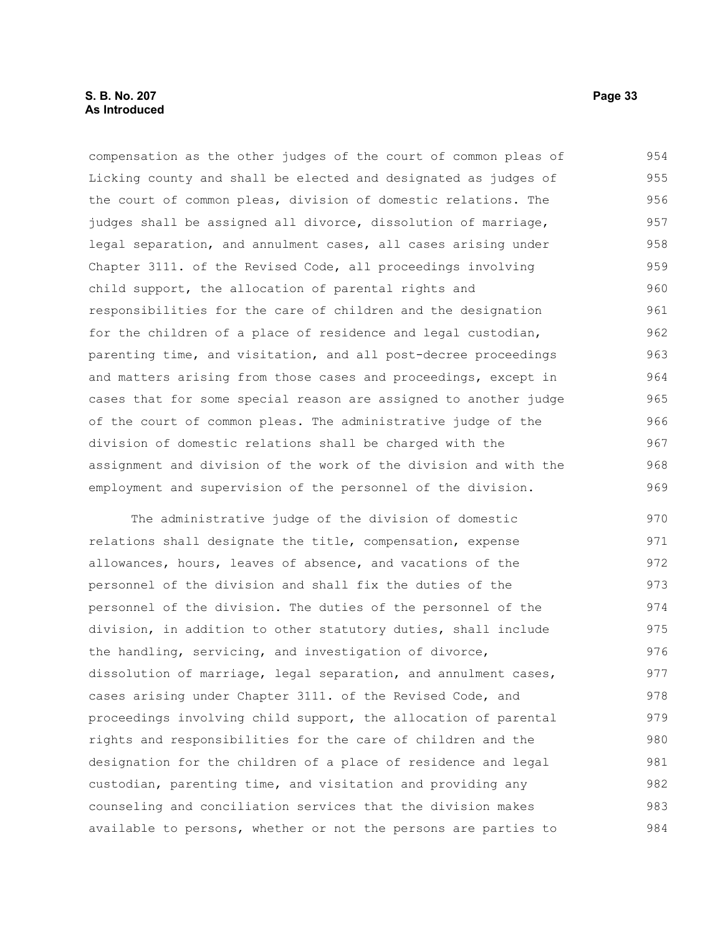## **S. B. No. 207 Page 33 As Introduced**

compensation as the other judges of the court of common pleas of Licking county and shall be elected and designated as judges of the court of common pleas, division of domestic relations. The judges shall be assigned all divorce, dissolution of marriage, legal separation, and annulment cases, all cases arising under Chapter 3111. of the Revised Code, all proceedings involving child support, the allocation of parental rights and responsibilities for the care of children and the designation for the children of a place of residence and legal custodian, parenting time, and visitation, and all post-decree proceedings and matters arising from those cases and proceedings, except in cases that for some special reason are assigned to another judge of the court of common pleas. The administrative judge of the division of domestic relations shall be charged with the assignment and division of the work of the division and with the employment and supervision of the personnel of the division. 954 955 956 957 958 959 960 961 962 963 964 965 966 967 968 969

The administrative judge of the division of domestic relations shall designate the title, compensation, expense allowances, hours, leaves of absence, and vacations of the personnel of the division and shall fix the duties of the personnel of the division. The duties of the personnel of the division, in addition to other statutory duties, shall include the handling, servicing, and investigation of divorce, dissolution of marriage, legal separation, and annulment cases, cases arising under Chapter 3111. of the Revised Code, and proceedings involving child support, the allocation of parental rights and responsibilities for the care of children and the designation for the children of a place of residence and legal custodian, parenting time, and visitation and providing any counseling and conciliation services that the division makes available to persons, whether or not the persons are parties to 970 971 972 973 974 975 976 977 978 979 980 981 982 983 984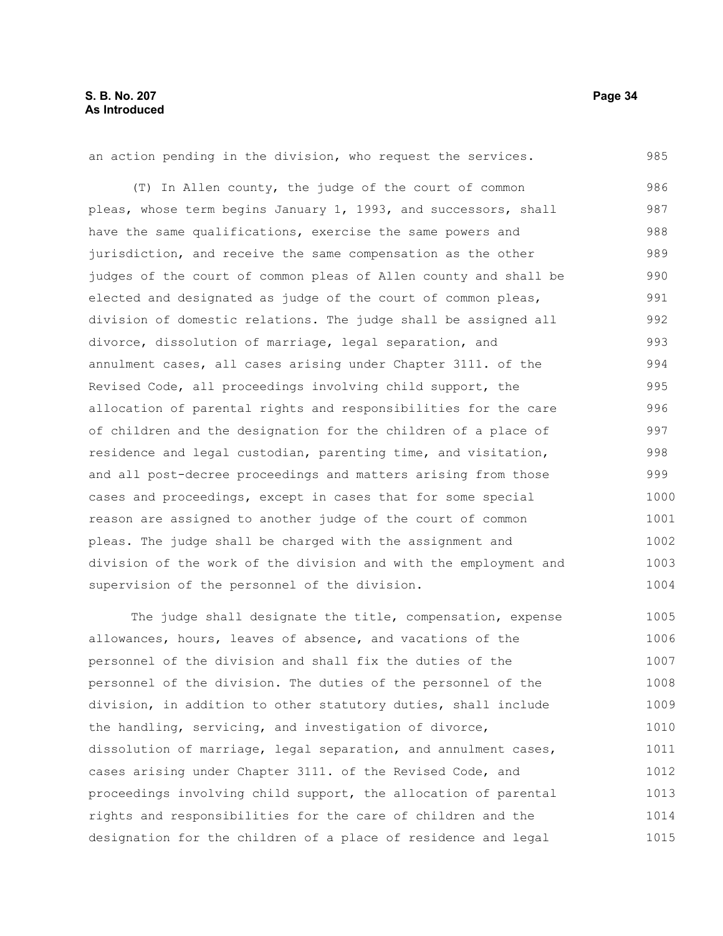#### an action pending in the division, who request the services. 985

(T) In Allen county, the judge of the court of common pleas, whose term begins January 1, 1993, and successors, shall have the same qualifications, exercise the same powers and jurisdiction, and receive the same compensation as the other judges of the court of common pleas of Allen county and shall be elected and designated as judge of the court of common pleas, division of domestic relations. The judge shall be assigned all divorce, dissolution of marriage, legal separation, and annulment cases, all cases arising under Chapter 3111. of the Revised Code, all proceedings involving child support, the allocation of parental rights and responsibilities for the care of children and the designation for the children of a place of residence and legal custodian, parenting time, and visitation, and all post-decree proceedings and matters arising from those cases and proceedings, except in cases that for some special reason are assigned to another judge of the court of common pleas. The judge shall be charged with the assignment and division of the work of the division and with the employment and supervision of the personnel of the division. 986 987 988 989 990 991 992 993 994 995 996 997 998 999 1000 1001 1002 1003 1004

The judge shall designate the title, compensation, expense allowances, hours, leaves of absence, and vacations of the personnel of the division and shall fix the duties of the personnel of the division. The duties of the personnel of the division, in addition to other statutory duties, shall include the handling, servicing, and investigation of divorce, dissolution of marriage, legal separation, and annulment cases, cases arising under Chapter 3111. of the Revised Code, and proceedings involving child support, the allocation of parental rights and responsibilities for the care of children and the designation for the children of a place of residence and legal 1005 1006 1007 1008 1009 1010 1011 1012 1013 1014 1015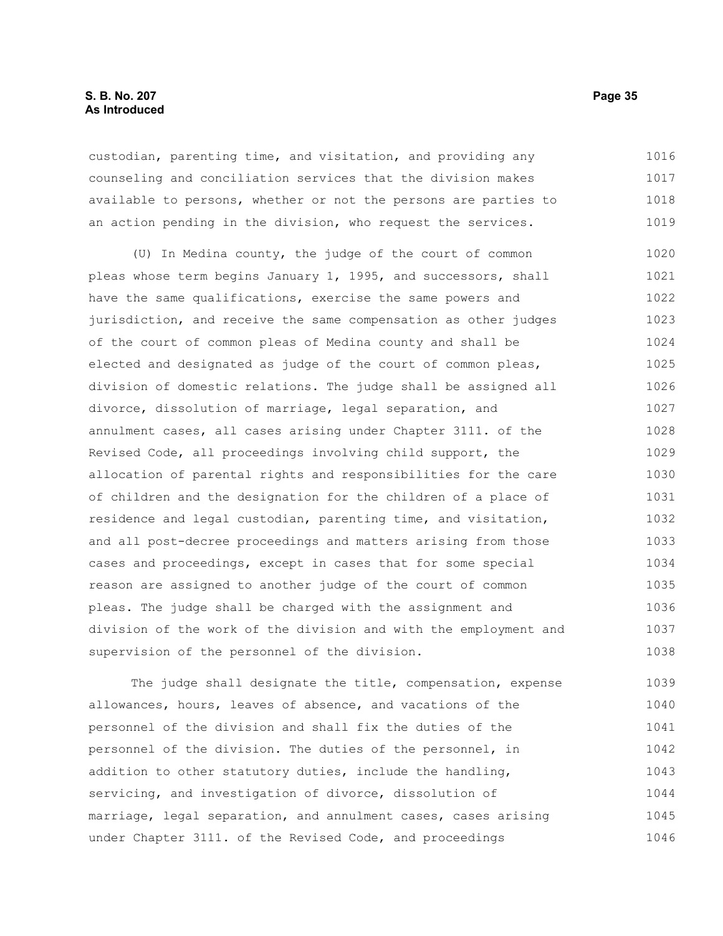custodian, parenting time, and visitation, and providing any counseling and conciliation services that the division makes available to persons, whether or not the persons are parties to an action pending in the division, who request the services. 1016 1017 1018 1019

(U) In Medina county, the judge of the court of common pleas whose term begins January 1, 1995, and successors, shall have the same qualifications, exercise the same powers and jurisdiction, and receive the same compensation as other judges of the court of common pleas of Medina county and shall be elected and designated as judge of the court of common pleas, division of domestic relations. The judge shall be assigned all divorce, dissolution of marriage, legal separation, and annulment cases, all cases arising under Chapter 3111. of the Revised Code, all proceedings involving child support, the allocation of parental rights and responsibilities for the care of children and the designation for the children of a place of residence and legal custodian, parenting time, and visitation, and all post-decree proceedings and matters arising from those cases and proceedings, except in cases that for some special reason are assigned to another judge of the court of common pleas. The judge shall be charged with the assignment and division of the work of the division and with the employment and supervision of the personnel of the division. 1020 1021 1022 1023 1024 1025 1026 1027 1028 1029 1030 1031 1032 1033 1034 1035 1036 1037 1038

The judge shall designate the title, compensation, expense allowances, hours, leaves of absence, and vacations of the personnel of the division and shall fix the duties of the personnel of the division. The duties of the personnel, in addition to other statutory duties, include the handling, servicing, and investigation of divorce, dissolution of marriage, legal separation, and annulment cases, cases arising under Chapter 3111. of the Revised Code, and proceedings 1039 1040 1041 1042 1043 1044 1045 1046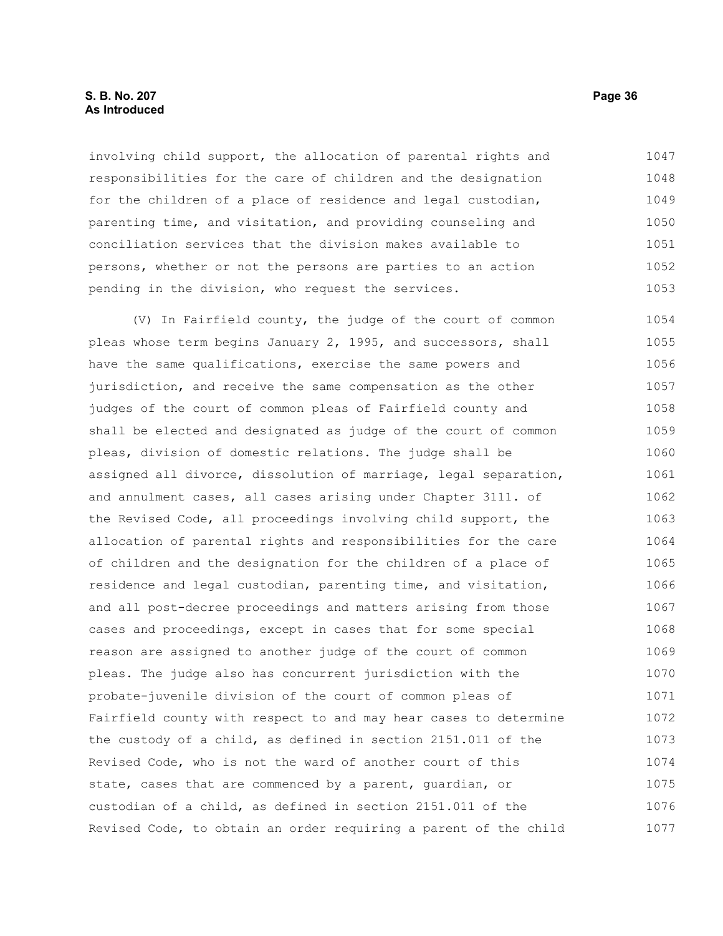involving child support, the allocation of parental rights and responsibilities for the care of children and the designation for the children of a place of residence and legal custodian, parenting time, and visitation, and providing counseling and conciliation services that the division makes available to persons, whether or not the persons are parties to an action pending in the division, who request the services. 1047 1048 1049 1050 1051 1052 1053

(V) In Fairfield county, the judge of the court of common pleas whose term begins January 2, 1995, and successors, shall have the same qualifications, exercise the same powers and jurisdiction, and receive the same compensation as the other judges of the court of common pleas of Fairfield county and shall be elected and designated as judge of the court of common pleas, division of domestic relations. The judge shall be assigned all divorce, dissolution of marriage, legal separation, and annulment cases, all cases arising under Chapter 3111. of the Revised Code, all proceedings involving child support, the allocation of parental rights and responsibilities for the care of children and the designation for the children of a place of residence and legal custodian, parenting time, and visitation, and all post-decree proceedings and matters arising from those cases and proceedings, except in cases that for some special reason are assigned to another judge of the court of common pleas. The judge also has concurrent jurisdiction with the probate-juvenile division of the court of common pleas of Fairfield county with respect to and may hear cases to determine the custody of a child, as defined in section 2151.011 of the Revised Code, who is not the ward of another court of this state, cases that are commenced by a parent, guardian, or custodian of a child, as defined in section 2151.011 of the Revised Code, to obtain an order requiring a parent of the child 1054 1055 1056 1057 1058 1059 1060 1061 1062 1063 1064 1065 1066 1067 1068 1069 1070 1071 1072 1073 1074 1075 1076 1077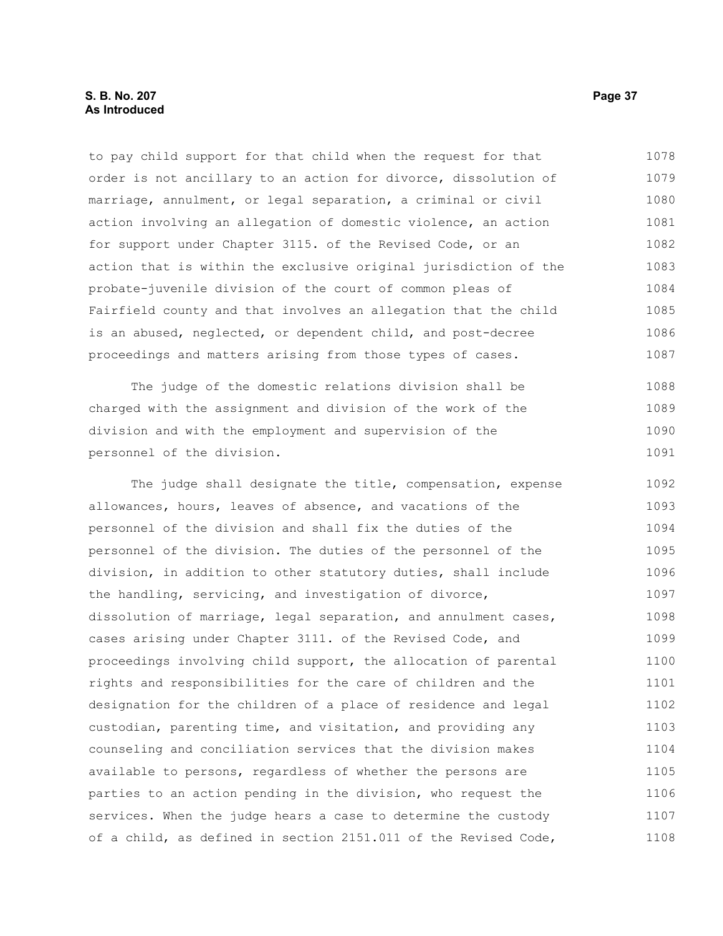## **S. B. No. 207 Page 37 As Introduced**

to pay child support for that child when the request for that order is not ancillary to an action for divorce, dissolution of marriage, annulment, or legal separation, a criminal or civil action involving an allegation of domestic violence, an action for support under Chapter 3115. of the Revised Code, or an action that is within the exclusive original jurisdiction of the probate-juvenile division of the court of common pleas of Fairfield county and that involves an allegation that the child is an abused, neglected, or dependent child, and post-decree proceedings and matters arising from those types of cases. 1078 1079 1080 1081 1082 1083 1084 1085 1086 1087

The judge of the domestic relations division shall be charged with the assignment and division of the work of the division and with the employment and supervision of the personnel of the division. 1088 1089 1090 1091

The judge shall designate the title, compensation, expense allowances, hours, leaves of absence, and vacations of the personnel of the division and shall fix the duties of the personnel of the division. The duties of the personnel of the division, in addition to other statutory duties, shall include the handling, servicing, and investigation of divorce, dissolution of marriage, legal separation, and annulment cases, cases arising under Chapter 3111. of the Revised Code, and proceedings involving child support, the allocation of parental rights and responsibilities for the care of children and the designation for the children of a place of residence and legal custodian, parenting time, and visitation, and providing any counseling and conciliation services that the division makes available to persons, regardless of whether the persons are parties to an action pending in the division, who request the services. When the judge hears a case to determine the custody of a child, as defined in section 2151.011 of the Revised Code, 1092 1093 1094 1095 1096 1097 1098 1099 1100 1101 1102 1103 1104 1105 1106 1107 1108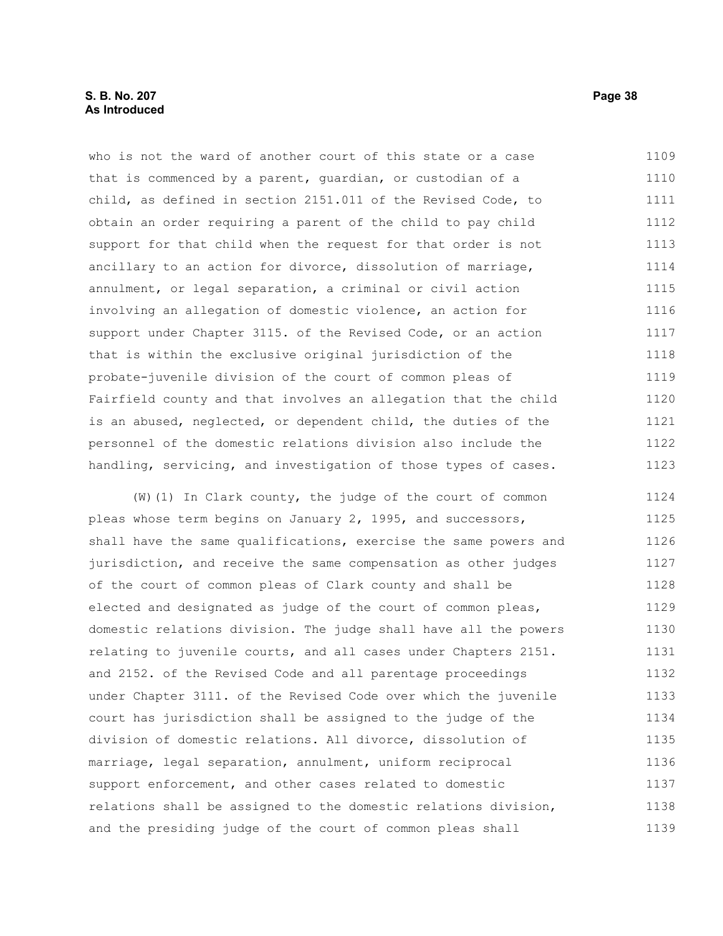## **S. B. No. 207 Page 38 As Introduced**

who is not the ward of another court of this state or a case that is commenced by a parent, guardian, or custodian of a child, as defined in section 2151.011 of the Revised Code, to obtain an order requiring a parent of the child to pay child support for that child when the request for that order is not ancillary to an action for divorce, dissolution of marriage, annulment, or legal separation, a criminal or civil action involving an allegation of domestic violence, an action for support under Chapter 3115. of the Revised Code, or an action that is within the exclusive original jurisdiction of the probate-juvenile division of the court of common pleas of Fairfield county and that involves an allegation that the child is an abused, neglected, or dependent child, the duties of the personnel of the domestic relations division also include the handling, servicing, and investigation of those types of cases. 1109 1110 1111 1112 1113 1114 1115 1116 1117 1118 1119 1120 1121 1122 1123

(W)(1) In Clark county, the judge of the court of common pleas whose term begins on January 2, 1995, and successors, shall have the same qualifications, exercise the same powers and jurisdiction, and receive the same compensation as other judges of the court of common pleas of Clark county and shall be elected and designated as judge of the court of common pleas, domestic relations division. The judge shall have all the powers relating to juvenile courts, and all cases under Chapters 2151. and 2152. of the Revised Code and all parentage proceedings under Chapter 3111. of the Revised Code over which the juvenile court has jurisdiction shall be assigned to the judge of the division of domestic relations. All divorce, dissolution of marriage, legal separation, annulment, uniform reciprocal support enforcement, and other cases related to domestic relations shall be assigned to the domestic relations division, and the presiding judge of the court of common pleas shall 1124 1125 1126 1127 1128 1129 1130 1131 1132 1133 1134 1135 1136 1137 1138 1139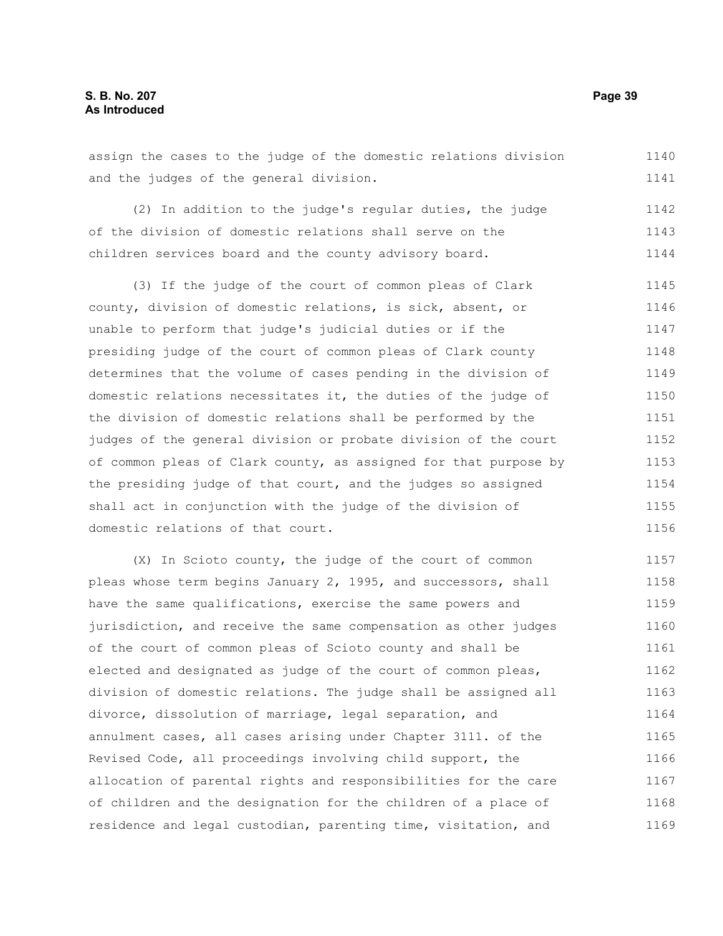assign the cases to the judge of the domestic relations division and the judges of the general division. 1140 1141

(2) In addition to the judge's regular duties, the judge of the division of domestic relations shall serve on the children services board and the county advisory board. 1142 1143 1144

(3) If the judge of the court of common pleas of Clark county, division of domestic relations, is sick, absent, or unable to perform that judge's judicial duties or if the presiding judge of the court of common pleas of Clark county determines that the volume of cases pending in the division of domestic relations necessitates it, the duties of the judge of the division of domestic relations shall be performed by the judges of the general division or probate division of the court of common pleas of Clark county, as assigned for that purpose by the presiding judge of that court, and the judges so assigned shall act in conjunction with the judge of the division of domestic relations of that court. 1145 1146 1147 1148 1149 1150 1151 1152 1153 1154 1155 1156

(X) In Scioto county, the judge of the court of common pleas whose term begins January 2, 1995, and successors, shall have the same qualifications, exercise the same powers and jurisdiction, and receive the same compensation as other judges of the court of common pleas of Scioto county and shall be elected and designated as judge of the court of common pleas, division of domestic relations. The judge shall be assigned all divorce, dissolution of marriage, legal separation, and annulment cases, all cases arising under Chapter 3111. of the Revised Code, all proceedings involving child support, the allocation of parental rights and responsibilities for the care of children and the designation for the children of a place of residence and legal custodian, parenting time, visitation, and 1157 1158 1159 1160 1161 1162 1163 1164 1165 1166 1167 1168 1169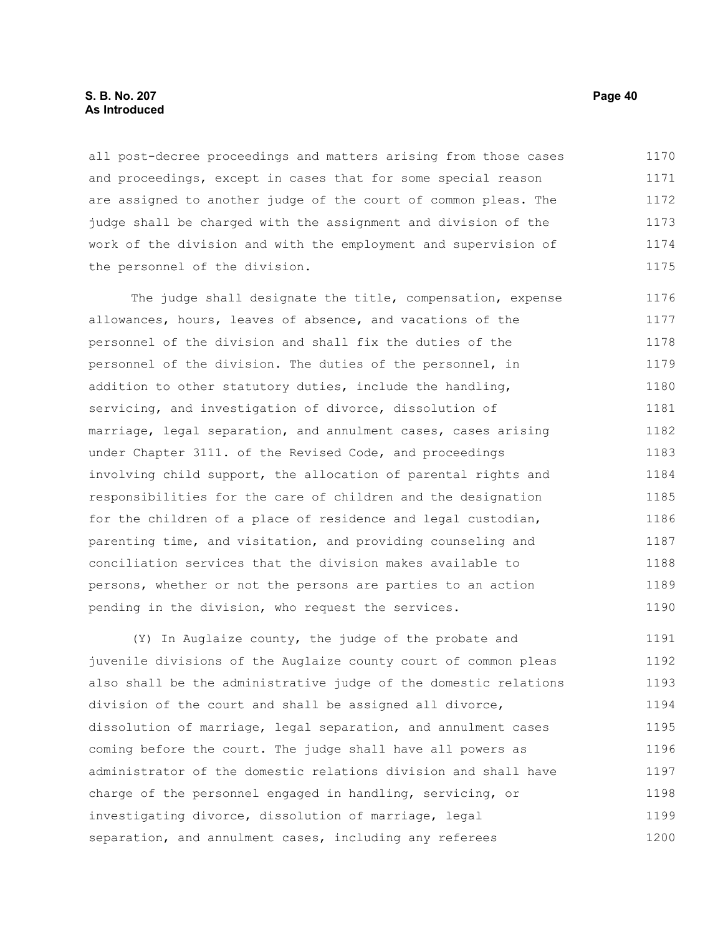## **S. B. No. 207 Page 40 As Introduced**

all post-decree proceedings and matters arising from those cases and proceedings, except in cases that for some special reason are assigned to another judge of the court of common pleas. The judge shall be charged with the assignment and division of the work of the division and with the employment and supervision of the personnel of the division. 1170 1171 1172 1173 1174 1175

The judge shall designate the title, compensation, expense allowances, hours, leaves of absence, and vacations of the personnel of the division and shall fix the duties of the personnel of the division. The duties of the personnel, in addition to other statutory duties, include the handling, servicing, and investigation of divorce, dissolution of marriage, legal separation, and annulment cases, cases arising under Chapter 3111. of the Revised Code, and proceedings involving child support, the allocation of parental rights and responsibilities for the care of children and the designation for the children of a place of residence and legal custodian, parenting time, and visitation, and providing counseling and conciliation services that the division makes available to persons, whether or not the persons are parties to an action pending in the division, who request the services. 1176 1177 1178 1179 1180 1181 1182 1183 1184 1185 1186 1187 1188 1189 1190

(Y) In Auglaize county, the judge of the probate and juvenile divisions of the Auglaize county court of common pleas also shall be the administrative judge of the domestic relations division of the court and shall be assigned all divorce, dissolution of marriage, legal separation, and annulment cases coming before the court. The judge shall have all powers as administrator of the domestic relations division and shall have charge of the personnel engaged in handling, servicing, or investigating divorce, dissolution of marriage, legal separation, and annulment cases, including any referees 1191 1192 1193 1194 1195 1196 1197 1198 1199 1200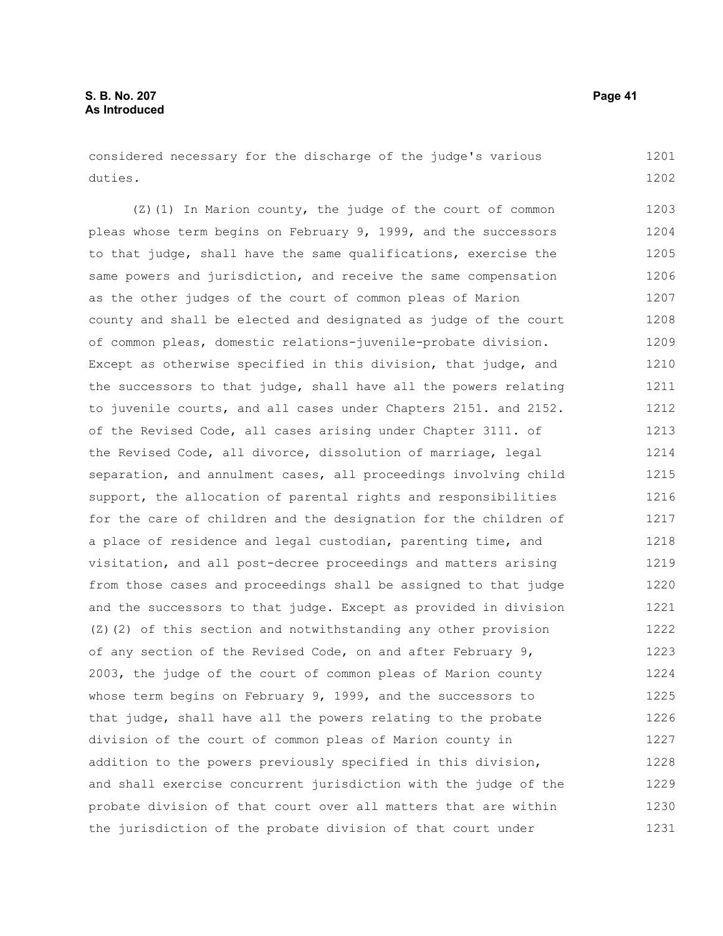considered necessary for the discharge of the judge's various duties. 1201 1202

(Z)(1) In Marion county, the judge of the court of common pleas whose term begins on February 9, 1999, and the successors to that judge, shall have the same qualifications, exercise the same powers and jurisdiction, and receive the same compensation as the other judges of the court of common pleas of Marion county and shall be elected and designated as judge of the court of common pleas, domestic relations-juvenile-probate division. Except as otherwise specified in this division, that judge, and the successors to that judge, shall have all the powers relating to juvenile courts, and all cases under Chapters 2151. and 2152. of the Revised Code, all cases arising under Chapter 3111. of the Revised Code, all divorce, dissolution of marriage, legal separation, and annulment cases, all proceedings involving child support, the allocation of parental rights and responsibilities for the care of children and the designation for the children of a place of residence and legal custodian, parenting time, and visitation, and all post-decree proceedings and matters arising from those cases and proceedings shall be assigned to that judge and the successors to that judge. Except as provided in division (Z)(2) of this section and notwithstanding any other provision of any section of the Revised Code, on and after February 9, 2003, the judge of the court of common pleas of Marion county whose term begins on February 9, 1999, and the successors to that judge, shall have all the powers relating to the probate division of the court of common pleas of Marion county in addition to the powers previously specified in this division, and shall exercise concurrent jurisdiction with the judge of the probate division of that court over all matters that are within the jurisdiction of the probate division of that court under 1203 1204 1205 1206 1207 1208 1209 1210 1211 1212 1213 1214 1215 1216 1217 1218 1219 1220 1221 1222 1223 1224 1225 1226 1227 1228 1229 1230 1231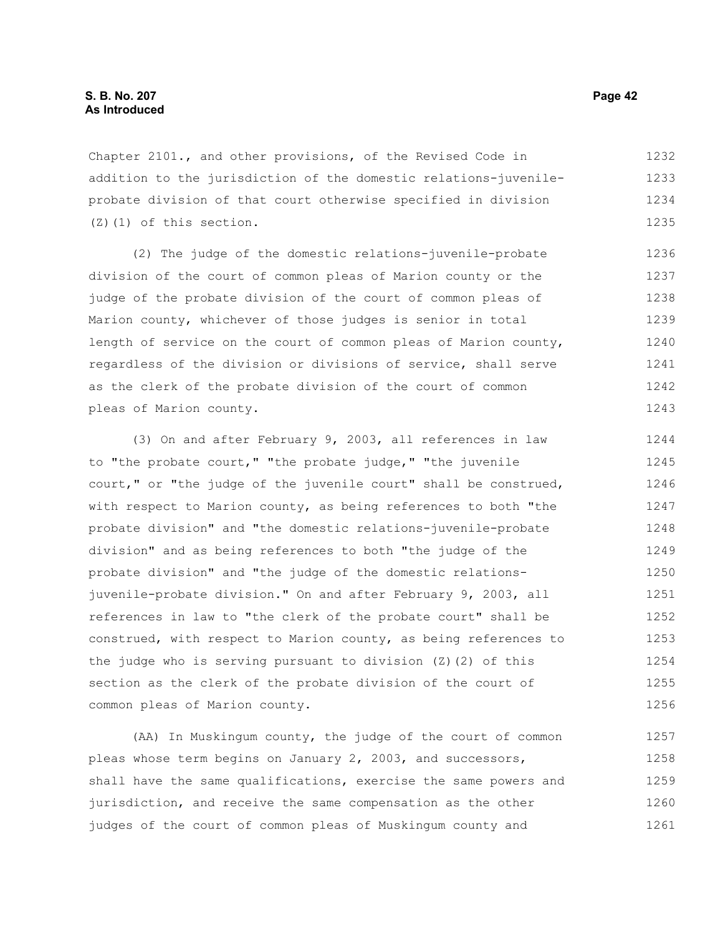Chapter 2101., and other provisions, of the Revised Code in addition to the jurisdiction of the domestic relations-juvenileprobate division of that court otherwise specified in division (Z)(1) of this section. 1232 1233 1234 1235

(2) The judge of the domestic relations-juvenile-probate division of the court of common pleas of Marion county or the judge of the probate division of the court of common pleas of Marion county, whichever of those judges is senior in total length of service on the court of common pleas of Marion county, regardless of the division or divisions of service, shall serve as the clerk of the probate division of the court of common pleas of Marion county. 1236 1237 1238 1239 1240 1241 1242 1243

(3) On and after February 9, 2003, all references in law to "the probate court," "the probate judge," "the juvenile court," or "the judge of the juvenile court" shall be construed, with respect to Marion county, as being references to both "the probate division" and "the domestic relations-juvenile-probate division" and as being references to both "the judge of the probate division" and "the judge of the domestic relationsjuvenile-probate division." On and after February 9, 2003, all references in law to "the clerk of the probate court" shall be construed, with respect to Marion county, as being references to the judge who is serving pursuant to division (Z)(2) of this section as the clerk of the probate division of the court of common pleas of Marion county. 1244 1245 1246 1247 1248 1249 1250 1251 1252 1253 1254 1255 1256

(AA) In Muskingum county, the judge of the court of common pleas whose term begins on January 2, 2003, and successors, shall have the same qualifications, exercise the same powers and jurisdiction, and receive the same compensation as the other judges of the court of common pleas of Muskingum county and 1257 1258 1259 1260 1261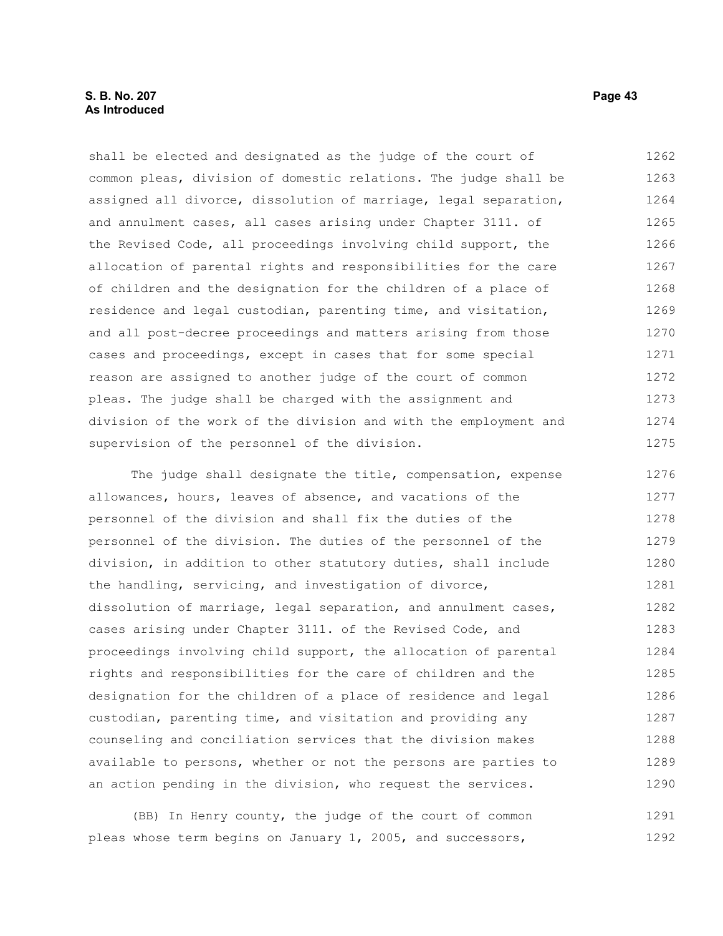## **S. B. No. 207 Page 43 As Introduced**

shall be elected and designated as the judge of the court of common pleas, division of domestic relations. The judge shall be assigned all divorce, dissolution of marriage, legal separation, and annulment cases, all cases arising under Chapter 3111. of the Revised Code, all proceedings involving child support, the allocation of parental rights and responsibilities for the care of children and the designation for the children of a place of residence and legal custodian, parenting time, and visitation, and all post-decree proceedings and matters arising from those cases and proceedings, except in cases that for some special reason are assigned to another judge of the court of common pleas. The judge shall be charged with the assignment and division of the work of the division and with the employment and supervision of the personnel of the division. 1262 1263 1264 1265 1266 1267 1268 1269 1270 1271 1272 1273 1274 1275

The judge shall designate the title, compensation, expense allowances, hours, leaves of absence, and vacations of the personnel of the division and shall fix the duties of the personnel of the division. The duties of the personnel of the division, in addition to other statutory duties, shall include the handling, servicing, and investigation of divorce, dissolution of marriage, legal separation, and annulment cases, cases arising under Chapter 3111. of the Revised Code, and proceedings involving child support, the allocation of parental rights and responsibilities for the care of children and the designation for the children of a place of residence and legal custodian, parenting time, and visitation and providing any counseling and conciliation services that the division makes available to persons, whether or not the persons are parties to an action pending in the division, who request the services. 1276 1277 1278 1279 1280 1281 1282 1283 1284 1285 1286 1287 1288 1289 1290

(BB) In Henry county, the judge of the court of common pleas whose term begins on January 1, 2005, and successors, 1291 1292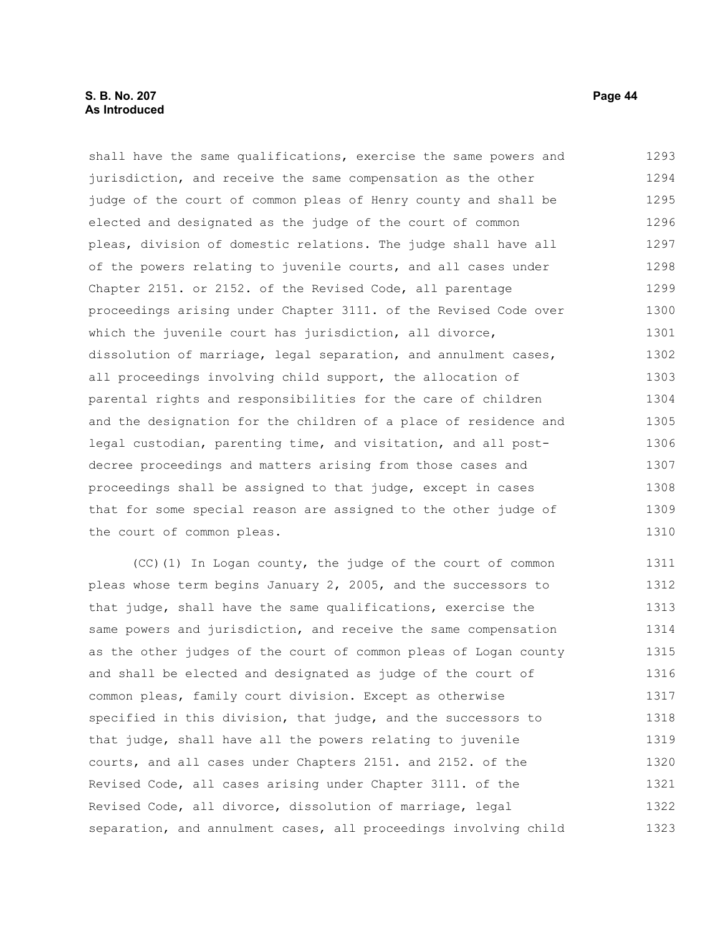## **S. B. No. 207 Page 44 As Introduced**

shall have the same qualifications, exercise the same powers and jurisdiction, and receive the same compensation as the other judge of the court of common pleas of Henry county and shall be elected and designated as the judge of the court of common pleas, division of domestic relations. The judge shall have all of the powers relating to juvenile courts, and all cases under Chapter 2151. or 2152. of the Revised Code, all parentage proceedings arising under Chapter 3111. of the Revised Code over which the juvenile court has jurisdiction, all divorce, dissolution of marriage, legal separation, and annulment cases, all proceedings involving child support, the allocation of parental rights and responsibilities for the care of children and the designation for the children of a place of residence and legal custodian, parenting time, and visitation, and all postdecree proceedings and matters arising from those cases and proceedings shall be assigned to that judge, except in cases that for some special reason are assigned to the other judge of the court of common pleas. 1293 1294 1295 1296 1297 1298 1299 1300 1301 1302 1303 1304 1305 1306 1307 1308 1309 1310

(CC)(1) In Logan county, the judge of the court of common pleas whose term begins January 2, 2005, and the successors to that judge, shall have the same qualifications, exercise the same powers and jurisdiction, and receive the same compensation as the other judges of the court of common pleas of Logan county and shall be elected and designated as judge of the court of common pleas, family court division. Except as otherwise specified in this division, that judge, and the successors to that judge, shall have all the powers relating to juvenile courts, and all cases under Chapters 2151. and 2152. of the Revised Code, all cases arising under Chapter 3111. of the Revised Code, all divorce, dissolution of marriage, legal separation, and annulment cases, all proceedings involving child 1311 1312 1313 1314 1315 1316 1317 1318 1319 1320 1321 1322 1323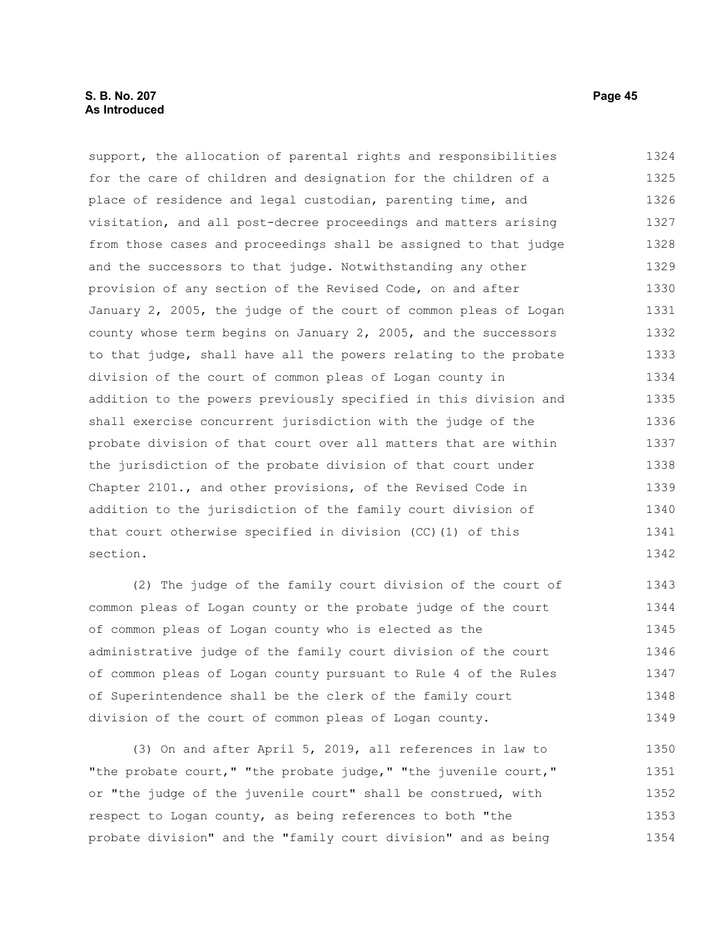## **S. B. No. 207 Page 45 As Introduced**

support, the allocation of parental rights and responsibilities for the care of children and designation for the children of a place of residence and legal custodian, parenting time, and visitation, and all post-decree proceedings and matters arising from those cases and proceedings shall be assigned to that judge and the successors to that judge. Notwithstanding any other provision of any section of the Revised Code, on and after January 2, 2005, the judge of the court of common pleas of Logan county whose term begins on January 2, 2005, and the successors to that judge, shall have all the powers relating to the probate division of the court of common pleas of Logan county in addition to the powers previously specified in this division and shall exercise concurrent jurisdiction with the judge of the probate division of that court over all matters that are within the jurisdiction of the probate division of that court under Chapter 2101., and other provisions, of the Revised Code in addition to the jurisdiction of the family court division of that court otherwise specified in division (CC)(1) of this section. 1324 1325 1326 1327 1328 1329 1330 1331 1332 1333 1334 1335 1336 1337 1338 1339 1340 1341 1342

(2) The judge of the family court division of the court of common pleas of Logan county or the probate judge of the court of common pleas of Logan county who is elected as the administrative judge of the family court division of the court of common pleas of Logan county pursuant to Rule 4 of the Rules of Superintendence shall be the clerk of the family court division of the court of common pleas of Logan county. 1343 1344 1345 1346 1347 1348 1349

(3) On and after April 5, 2019, all references in law to "the probate court," "the probate judge," "the juvenile court," or "the judge of the juvenile court" shall be construed, with respect to Logan county, as being references to both "the probate division" and the "family court division" and as being 1350 1351 1352 1353 1354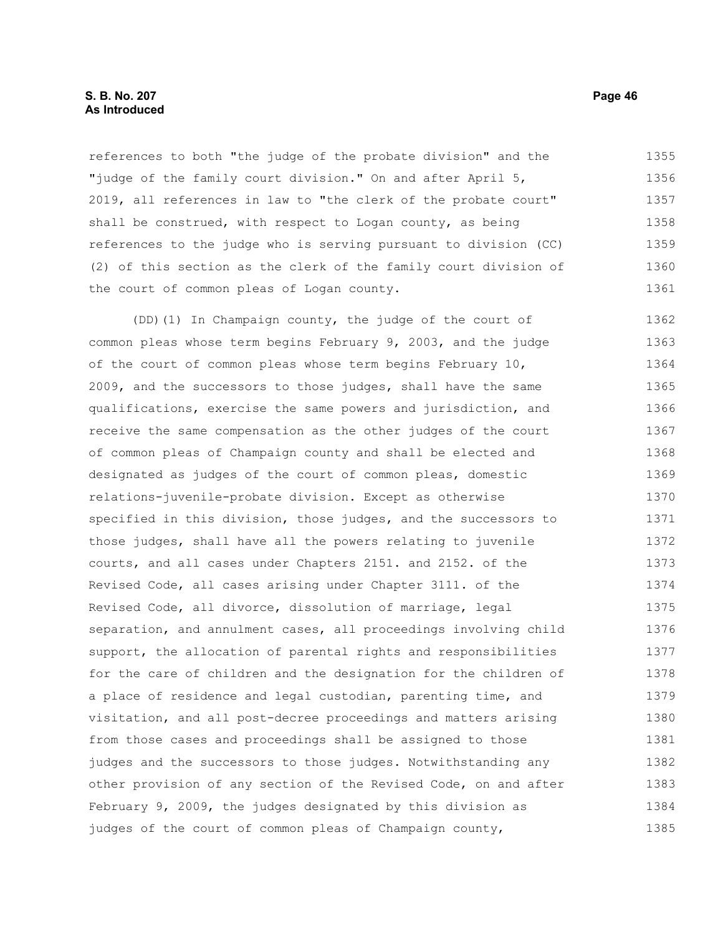## **S. B. No. 207 Page 46 As Introduced**

references to both "the judge of the probate division" and the "judge of the family court division." On and after April 5, 2019, all references in law to "the clerk of the probate court" shall be construed, with respect to Logan county, as being references to the judge who is serving pursuant to division (CC) (2) of this section as the clerk of the family court division of the court of common pleas of Logan county. 1355 1356 1357 1358 1359 1360 1361

(DD)(1) In Champaign county, the judge of the court of common pleas whose term begins February 9, 2003, and the judge of the court of common pleas whose term begins February 10, 2009, and the successors to those judges, shall have the same qualifications, exercise the same powers and jurisdiction, and receive the same compensation as the other judges of the court of common pleas of Champaign county and shall be elected and designated as judges of the court of common pleas, domestic relations-juvenile-probate division. Except as otherwise specified in this division, those judges, and the successors to those judges, shall have all the powers relating to juvenile courts, and all cases under Chapters 2151. and 2152. of the Revised Code, all cases arising under Chapter 3111. of the Revised Code, all divorce, dissolution of marriage, legal separation, and annulment cases, all proceedings involving child support, the allocation of parental rights and responsibilities for the care of children and the designation for the children of a place of residence and legal custodian, parenting time, and visitation, and all post-decree proceedings and matters arising from those cases and proceedings shall be assigned to those judges and the successors to those judges. Notwithstanding any other provision of any section of the Revised Code, on and after February 9, 2009, the judges designated by this division as judges of the court of common pleas of Champaign county, 1362 1363 1364 1365 1366 1367 1368 1369 1370 1371 1372 1373 1374 1375 1376 1377 1378 1379 1380 1381 1382 1383 1384 1385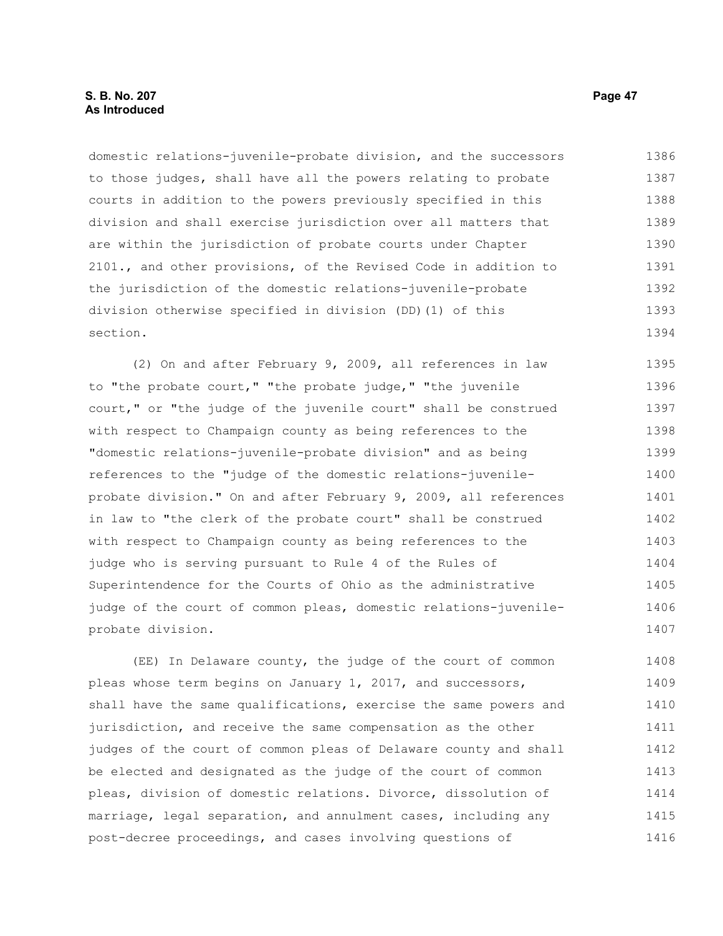domestic relations-juvenile-probate division, and the successors to those judges, shall have all the powers relating to probate courts in addition to the powers previously specified in this division and shall exercise jurisdiction over all matters that are within the jurisdiction of probate courts under Chapter 2101., and other provisions, of the Revised Code in addition to the jurisdiction of the domestic relations-juvenile-probate division otherwise specified in division (DD)(1) of this section. 1386 1387 1388 1389 1390 1391 1392 1393 1394

(2) On and after February 9, 2009, all references in law to "the probate court," "the probate judge," "the juvenile court," or "the judge of the juvenile court" shall be construed with respect to Champaign county as being references to the "domestic relations-juvenile-probate division" and as being references to the "judge of the domestic relations-juvenileprobate division." On and after February 9, 2009, all references in law to "the clerk of the probate court" shall be construed with respect to Champaign county as being references to the judge who is serving pursuant to Rule 4 of the Rules of Superintendence for the Courts of Ohio as the administrative judge of the court of common pleas, domestic relations-juvenileprobate division. 1395 1396 1397 1398 1399 1400 1401 1402 1403 1404 1405 1406 1407

(EE) In Delaware county, the judge of the court of common pleas whose term begins on January 1, 2017, and successors, shall have the same qualifications, exercise the same powers and jurisdiction, and receive the same compensation as the other judges of the court of common pleas of Delaware county and shall be elected and designated as the judge of the court of common pleas, division of domestic relations. Divorce, dissolution of marriage, legal separation, and annulment cases, including any post-decree proceedings, and cases involving questions of 1408 1409 1410 1411 1412 1413 1414 1415 1416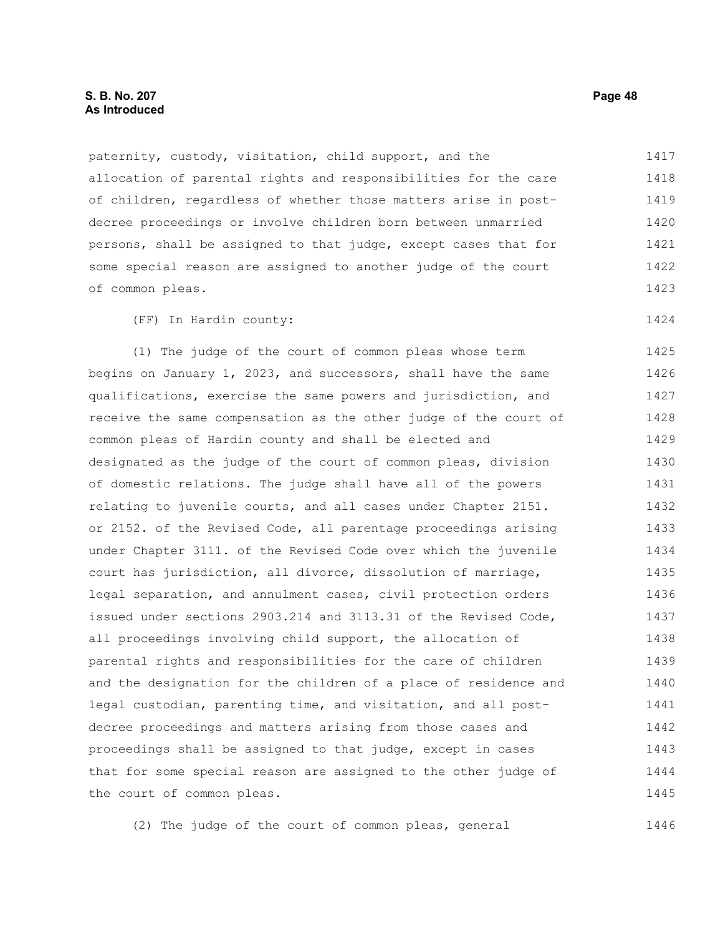## **S. B. No. 207 Page 48 As Introduced**

paternity, custody, visitation, child support, and the allocation of parental rights and responsibilities for the care of children, regardless of whether those matters arise in postdecree proceedings or involve children born between unmarried persons, shall be assigned to that judge, except cases that for some special reason are assigned to another judge of the court of common pleas. 1417 1418 1419 1420 1421 1422 1423

(FF) In Hardin county:

(1) The judge of the court of common pleas whose term begins on January 1, 2023, and successors, shall have the same qualifications, exercise the same powers and jurisdiction, and receive the same compensation as the other judge of the court of common pleas of Hardin county and shall be elected and designated as the judge of the court of common pleas, division of domestic relations. The judge shall have all of the powers relating to juvenile courts, and all cases under Chapter 2151. or 2152. of the Revised Code, all parentage proceedings arising under Chapter 3111. of the Revised Code over which the juvenile court has jurisdiction, all divorce, dissolution of marriage, legal separation, and annulment cases, civil protection orders issued under sections 2903.214 and 3113.31 of the Revised Code, all proceedings involving child support, the allocation of parental rights and responsibilities for the care of children and the designation for the children of a place of residence and legal custodian, parenting time, and visitation, and all postdecree proceedings and matters arising from those cases and proceedings shall be assigned to that judge, except in cases that for some special reason are assigned to the other judge of the court of common pleas. 1425 1426 1427 1428 1429 1430 1431 1432 1433 1434 1435 1436 1437 1438 1439 1440 1441 1442 1443 1444 1445

(2) The judge of the court of common pleas, general

1424